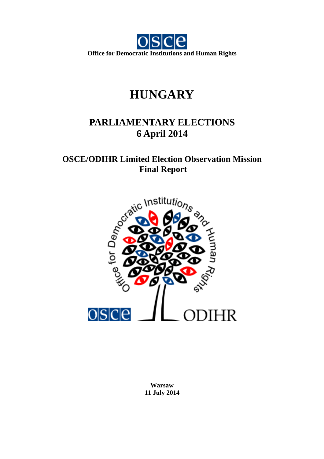

# **HUNGARY**

# **PARLIAMENTARY ELECTIONS 6 April 2014**

# **OSCE/ODIHR Limited Election Observation Mission Final Report**



**Warsaw 11 July 2014**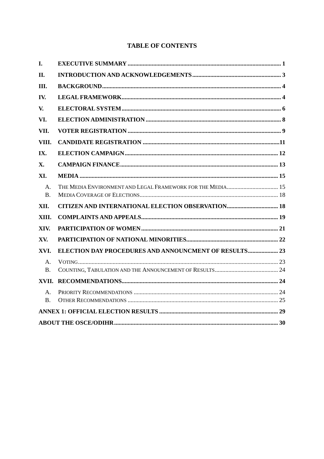# **TABLE OF CONTENTS**

| I.              |                                                              |  |
|-----------------|--------------------------------------------------------------|--|
| II.             |                                                              |  |
| Ш.              |                                                              |  |
| IV.             |                                                              |  |
| V.              |                                                              |  |
| VI.             |                                                              |  |
| VII.            |                                                              |  |
| VIII.           |                                                              |  |
| IX.             |                                                              |  |
| X.              |                                                              |  |
| XI.             |                                                              |  |
| A.<br><b>B.</b> | THE MEDIA ENVIRONMENT AND LEGAL FRAMEWORK FOR THE MEDIA 15   |  |
| XII.            |                                                              |  |
| XIII.           |                                                              |  |
| XIV.            |                                                              |  |
| XV.             |                                                              |  |
| XVI.            | <b>ELECTION DAY PROCEDURES AND ANNOUNCMENT OF RESULTS 23</b> |  |
| A.<br><b>B.</b> |                                                              |  |
| XVII.           |                                                              |  |
| A.<br><b>B.</b> |                                                              |  |
|                 |                                                              |  |
|                 |                                                              |  |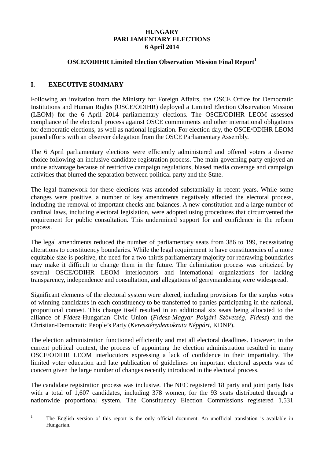# **HUNGARY PARLIAMENTARY ELECTIONS 6 April 2014**

# **OSCE/ODIHR Limited Election Observation Mission Final Report<sup>1</sup>**

# **I. EXECUTIVE SUMMARY**

 $\overline{a}$ 

Following an invitation from the Ministry for Foreign Affairs, the OSCE Office for Democratic Institutions and Human Rights (OSCE/ODIHR) deployed a Limited Election Observation Mission (LEOM) for the 6 April 2014 parliamentary elections. The OSCE/ODIHR LEOM assessed compliance of the electoral process against OSCE commitments and other international obligations for democratic elections, as well as national legislation. For election day, the OSCE/ODIHR LEOM joined efforts with an observer delegation from the OSCE Parliamentary Assembly.

The 6 April parliamentary elections were efficiently administered and offered voters a diverse choice following an inclusive candidate registration process. The main governing party enjoyed an undue advantage because of restrictive campaign regulations, biased media coverage and campaign activities that blurred the separation between political party and the State.

The legal framework for these elections was amended substantially in recent years. While some changes were positive, a number of key amendments negatively affected the electoral process, including the removal of important checks and balances. A new constitution and a large number of cardinal laws, including electoral legislation, were adopted using procedures that circumvented the requirement for public consultation. This undermined support for and confidence in the reform process.

The legal amendments reduced the number of parliamentary seats from 386 to 199, necessitating alterations to constituency boundaries. While the legal requirement to have constituencies of a more equitable size is positive, the need for a two-thirds parliamentary majority for redrawing boundaries may make it difficult to change them in the future. The delimitation process was criticized by several OSCE/ODIHR LEOM interlocutors and international organizations for lacking transparency, independence and consultation, and allegations of gerrymandering were widespread.

Significant elements of the electoral system were altered, including provisions for the surplus votes of winning candidates in each constituency to be transferred to parties participating in the national, proportional contest. This change itself resulted in an additional six seats being allocated to the alliance of *Fidesz*-Hungarian Civic Union (*Fidesz-Magyar Polgári Szövetség, Fidesz*) and the Christian-Democratic People's Party (*Kereszténydemokrata Néppárt*, KDNP).

The election administration functioned efficiently and met all electoral deadlines. However, in the current political context, the process of appointing the election administration resulted in many OSCE/ODIHR LEOM interlocutors expressing a lack of confidence in their impartiality. The limited voter education and late publication of guidelines on important electoral aspects was of concern given the large number of changes recently introduced in the electoral process.

The candidate registration process was inclusive. The NEC registered 18 party and joint party lists with a total of 1,607 candidates, including 378 women, for the 93 seats distributed through a nationwide proportional system. The Constituency Election Commissions registered 1,531

<sup>1</sup> The English version of this report is the only official document. An unofficial translation is available in Hungarian.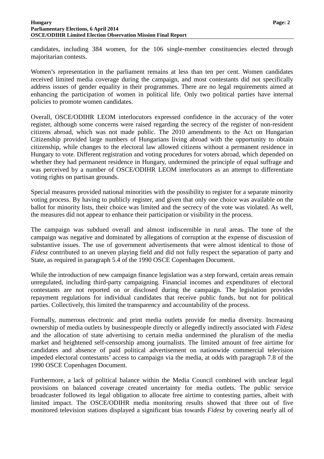candidates, including 384 women, for the 106 single-member constituencies elected through majoritarian contests.

Women's representation in the parliament remains at less than ten per cent. Women candidates received limited media coverage during the campaign, and most contestants did not specifically address issues of gender equality in their programmes. There are no legal requirements aimed at enhancing the participation of women in political life. Only two political parties have internal policies to promote women candidates.

Overall, OSCE/ODIHR LEOM interlocutors expressed confidence in the accuracy of the voter register, although some concerns were raised regarding the secrecy of the register of non-resident citizens abroad, which was not made public. The 2010 amendments to the Act on Hungarian Citizenship provided large numbers of Hungarians living abroad with the opportunity to obtain citizenship, while changes to the electoral law allowed citizens without a permanent residence in Hungary to vote. Different registration and voting procedures for voters abroad, which depended on whether they had permanent residence in Hungary, undermined the principle of equal suffrage and was perceived by a number of OSCE/ODIHR LEOM interlocutors as an attempt to differentiate voting rights on partisan grounds.

Special measures provided national minorities with the possibility to register for a separate minority voting process. By having to publicly register, and given that only one choice was available on the ballot for minority lists, their choice was limited and the secrecy of the vote was violated. As well, the measures did not appear to enhance their participation or visibility in the process.

The campaign was subdued overall and almost indiscernible in rural areas. The tone of the campaign was negative and dominated by allegations of corruption at the expense of discussion of substantive issues. The use of government advertisements that were almost identical to those of *Fidesz* contributed to an uneven playing field and did not fully respect the separation of party and State, as required in paragraph 5.4 of the 1990 OSCE Copenhagen Document.

While the introduction of new campaign finance legislation was a step forward, certain areas remain unregulated, including third-party campaigning. Financial incomes and expenditures of electoral contestants are not reported on or disclosed during the campaign. The legislation provides repayment regulations for individual candidates that receive public funds, but not for political parties. Collectively, this limited the transparency and accountability of the process.

Formally, numerous electronic and print media outlets provide for media diversity. Increasing ownership of media outlets by businesspeople directly or allegedly indirectly associated with *Fidesz* and the allocation of state advertising to certain media undermined the pluralism of the media market and heightened self-censorship among journalists. The limited amount of free airtime for candidates and absence of paid political advertisement on nationwide commercial television impeded electoral contestants' access to campaign via the media, at odds with paragraph 7.8 of the 1990 OSCE Copenhagen Document.

Furthermore, a lack of political balance within the Media Council combined with unclear legal provisions on balanced coverage created uncertainty for media outlets. The public service broadcaster followed its legal obligation to allocate free airtime to contesting parties, albeit with limited impact. The OSCE/ODIHR media monitoring results showed that three out of five monitored television stations displayed a significant bias towards *Fidesz* by covering nearly all of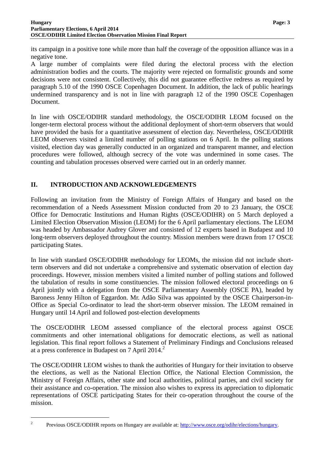its campaign in a positive tone while more than half the coverage of the opposition alliance was in a negative tone.

A large number of complaints were filed during the electoral process with the election administration bodies and the courts. The majority were rejected on formalistic grounds and some decisions were not consistent. Collectively, this did not guarantee effective redress as required by paragraph 5.10 of the 1990 OSCE Copenhagen Document. In addition, the lack of public hearings undermined transparency and is not in line with paragraph 12 of the 1990 OSCE Copenhagen Document.

In line with OSCE/ODIHR standard methodology, the OSCE/ODIHR LEOM focused on the longer-term electoral process without the additional deployment of short-term observers that would have provided the basis for a quantitative assessment of election day. Nevertheless, OSCE/ODIHR LEOM observers visited a limited number of polling stations on 6 April. In the polling stations visited, election day was generally conducted in an organized and transparent manner, and election procedures were followed, although secrecy of the vote was undermined in some cases. The counting and tabulation processes observed were carried out in an orderly manner.

# **II. INTRODUCTION AND ACKNOWLEDGEMENTS**

Following an invitation from the Ministry of Foreign Affairs of Hungary and based on the recommendation of a Needs Assessment Mission conducted from 20 to 23 January, the OSCE Office for Democratic Institutions and Human Rights (OSCE/ODIHR) on 5 March deployed a Limited Election Observation Mission (LEOM) for the 6 April parliamentary elections. The LEOM was headed by Ambassador Audrey Glover and consisted of 12 experts based in Budapest and 10 long-term observers deployed throughout the country. Mission members were drawn from 17 OSCE participating States.

In line with standard OSCE/ODIHR methodology for LEOMs, the mission did not include shortterm observers and did not undertake a comprehensive and systematic observation of election day proceedings. However, mission members visited a limited number of polling stations and followed the tabulation of results in some constituencies. The mission followed electoral proceedings on 6 April jointly with a delegation from the OSCE Parliamentary Assembly (OSCE PA), headed by Baroness Jenny Hilton of Eggardon. Mr. Adão Silva was appointed by the OSCE Chairperson-in-Office as Special Co-ordinator to lead the short-term observer mission. The LEOM remained in Hungary until 14 April and followed post-election developments

The OSCE/ODIHR LEOM assessed compliance of the electoral process against OSCE commitments and other international obligations for democratic elections, as well as national legislation. This final report follows a Statement of Preliminary Findings and Conclusions released at a press conference in Budapest on  $7$  April 2014.<sup>2</sup>

The OSCE/ODIHR LEOM wishes to thank the authorities of Hungary for their invitation to observe the elections, as well as the National Election Office, the National Election Commission, the Ministry of Foreign Affairs, other state and local authorities, political parties, and civil society for their assistance and co-operation. The mission also wishes to express its appreciation to diplomatic representations of OSCE participating States for their co-operation throughout the course of the mission.

<sup>2</sup> Previous OSCE/ODIHR reports on Hungary are available at: http://www.osce.org/odihr/elections/hungary.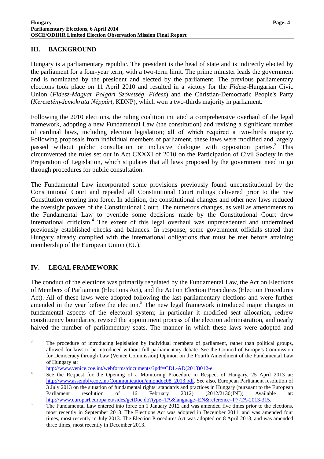### **III. BACKGROUND**

Hungary is a parliamentary republic. The president is the head of state and is indirectly elected by the parliament for a four-year term, with a two-term limit. The prime minister leads the government and is nominated by the president and elected by the parliament. The previous parliamentary elections took place on 11 April 2010 and resulted in a victory for the *Fidesz*-Hungarian Civic Union (*Fidesz-Magyar Polgári Szövetség, Fidesz*) and the Christian-Democratic People's Party (*Kereszténydemokrata Néppárt*, KDNP), which won a two-thirds majority in parliament.

Following the 2010 elections, the ruling coalition initiated a comprehensive overhaul of the legal framework, adopting a new Fundamental Law (the constitution) and revising a significant number of cardinal laws, including election legislation; all of which required a two-thirds majority. Following proposals from individual members of parliament, these laws were modified and largely passed without public consultation or inclusive dialogue with opposition parties.<sup>3</sup> This circumvented the rules set out in Act CXXXI of 2010 on the Participation of Civil Society in the Preparation of Legislation, which stipulates that all laws proposed by the government need to go through procedures for public consultation.

The Fundamental Law incorporated some provisions previously found unconstitutional by the Constitutional Court and repealed all Constitutional Court rulings delivered prior to the new Constitution entering into force. In addition, the constitutional changes and other new laws reduced the oversight powers of the Constitutional Court. The numerous changes, as well as amendments to the Fundamental Law to override some decisions made by the Constitutional Court drew international criticism.<sup>4</sup> The extent of this legal overhaul was unprecedented and undermined previously established checks and balances. In response, some government officials stated that Hungary already complied with the international obligations that must be met before attaining membership of the European Union (EU).

# **IV. LEGAL FRAMEWORK**

 $\overline{a}$ 

The conduct of the elections was primarily regulated by the Fundamental Law, the Act on Elections of Members of Parliament (Elections Act), and the Act on Election Procedures (Election Procedures Act). All of these laws were adopted following the last parliamentary elections and were further amended in the year before the election.<sup>5</sup> The new legal framework introduced major changes to fundamental aspects of the electoral system; in particular it modified seat allocation, redrew constituency boundaries, revised the appointment process of the election administration, and nearly halved the number of parliamentary seats. The manner in which these laws were adopted and

<sup>3</sup> The procedure of introducing legislation by individual members of parliament, rather than political groups, allowed for laws to be introduced without full parliamentary debate. See the Council of Europe's Commission for Democracy through Law (Venice Commission) Opinion on the Fourth Amendment of the Fundamental Law of Hungary at:

http://www.venice.coe.int/webforms/documents/?pdf=CDL-AD(2013)012-e.

<sup>4</sup> See the Request for the Opening of a Monitoring Procedure in Respect of Hungary, 25 April 2013 at: http://www.assembly.coe.int/Communication/amondoc08\_2013.pdf. See also, European Parliament resolution of 3 July 2013 on the situation of fundamental rights: standards and practices in Hungary (pursuant to the European Parliament resolution of 16 February 2012) (2012/2130(INI)) Available at: http://www.europarl.europa.eu/sides/getDoc.do?type=TA&language=EN&reference=P7-TA-2013-315.

<sup>5</sup> The Fundamental Law entered into force on 1 January 2012 and was amended five times prior to the elections, most recently in September 2013. The Elections Act was adopted in December 2011, and was amended four times, most recently in July 2013. The Election Procedures Act was adopted on 8 April 2013, and was amended three times, most recently in December 2013.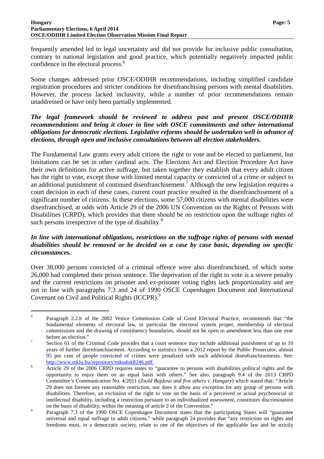frequently amended led to legal uncertainty and did not provide for inclusive public consultation, contrary to national legislation and good practice, which potentially negatively impacted public confidence in the electoral process.<sup>6</sup>

Some changes addressed prior OSCE/ODIHR recommendations, including simplified candidate registration procedures and stricter conditions for disenfranchising persons with mental disabilities. However, the process lacked inclusivity, while a number of prior recommendations remain unaddressed or have only been partially implemented.

### *The legal framework should be reviewed to address past and present OSCE/ODIHR recommendations and bring it closer in line with OSCE commitments and other international obligations for democratic elections. Legislative reforms should be undertaken well in advance of elections, through open and inclusive consultations between all election stakeholders.*

The Fundamental Law grants every adult citizen the right to vote and be elected to parliament, but limitations can be set in other cardinal acts. The Elections Act and Election Procedure Act have their own definitions for active suffrage, but taken together they establish that every adult citizen has the right to vote, except those with limited mental capacity or convicted of a crime or subject to an additional punishment of continued disenfranchisement.<sup>7</sup> Although the new legislation requires a court decision in each of these cases, current court practice resulted in the disenfranchisement of a significant number of citizens. In these elections, some 57,000 citizens with mental disabilities were disenfranchised, at odds with Article 29 of the 2006 UN Convention on the Rights of Persons with Disabilities (CRPD), which provides that there should be no restriction upon the suffrage rights of such persons irrespective of the type of disability.<sup>8</sup>

# *In line with international obligations, restrictions on the suffrage rights of persons with mental disabilities should be removed or be decided on a case by case basis, depending on specific circumstances.*

Over 38,000 persons convicted of a criminal offence were also disenfranchised, of which some 26,000 had completed their prison sentence. The deprivation of the right to vote is a severe penalty and the current restrictions on prisoner and ex-prisoner voting rights lack proportionality and are not in line with paragraphs 7.3 and 24 of 1990 OSCE Copenhagen Document and International Covenant on Civil and Political Rights (ICCPR).<sup>9</sup>

<sup>6</sup> Paragraph 2.2.b of the 2002 Venice Commission Code of Good Electoral Practice, recommends that "the fundamental elements of electoral law, in particular the electoral system proper, membership of electoral commissions and the drawing of constituency boundaries, should not be open to amendment less than one year before an election."

<sup>7</sup> Section 61 of the Criminal Code provides that a court sentence may include additional punishment of up to 10 years of further disenfranchisement. According to statistics from a 2012 report by the Public Prosecutor, almost 95 per cent of people convicted of crimes were penalized with such additional disenfranchisements. See: http://www.mklu.hu/repository/mkudok8246.pdf.

<sup>8</sup> Article 29 of the 2006 CRPD requires states to "guarantee to persons with disabilities political rights and the opportunity to enjoy them on an equal basis with others." See also, paragraph 9.4 of the 2013 CRPD Committee's Communication No. 4/2011 (*Zsold Bujdoso and five others v. Hungary*) which stated that: "Article 29 does not foresee any reasonable restriction, nor does it allow any exception for any group of persons with disabilities. Therefore, an exclusion of the right to vote on the basis of a perceived or actual psychosocial or intellectual disability, including a restriction pursuant to an individualized assessment, constitutes discrimination on the basis of disability, within the meaning of article 2 of the Convention."

 $\overline{9}$  Paragraph 7.3 of the 1990 OSCE Copenhagen Document states that the participating States will "guarantee universal and equal suffrage to adult citizens," while paragraph 24 provides that "any restriction on rights and freedoms must, in a democratic society, relate to one of the objectives of the applicable law and be strictly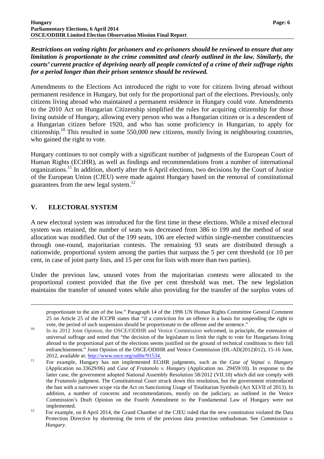*Restrictions on voting rights for prisoners and ex-prisoners should be reviewed to ensure that any limitation is proportionate to the crime committed and clearly outlined in the law. Similarly, the courts' current practice of depriving nearly all people convicted of a crime of their suffrage rights for a period longer than their prison sentence should be reviewed.* 

Amendments to the Elections Act introduced the right to vote for citizens living abroad without permanent residence in Hungary, but only for the proportional part of the elections. Previously, only citizens living abroad who maintained a permanent residence in Hungary could vote. Amendments to the 2010 Act on Hungarian Citizenship simplified the rules for acquiring citizenship for those living outside of Hungary, allowing every person who was a Hungarian citizen or is a descendent of a Hungarian citizen before 1920, and who has some proficiency in Hungarian, to apply for citizenship.<sup>10</sup> This resulted in some  $550,000$  new citizens, mostly living in neighbouring countries, who gained the right to vote.

Hungary continues to not comply with a significant number of judgments of the European Court of Human Rights (ECtHR), as well as findings and recommendations from a number of international organizations.<sup>11</sup> In addition, shortly after the 6 April elections, two decisions by the Court of Justice of the European Union (CJEU) were made against Hungary based on the removal of constitutional guarantees from the new legal system. $^{12}$ 

# **V. ELECTORAL SYSTEM**

 $\overline{a}$ 

A new electoral system was introduced for the first time in these elections. While a mixed electoral system was retained, the number of seats was decreased from 386 to 199 and the method of seat allocation was modified. Out of the 199 seats, 106 are elected within single-member constituencies through one-round, majoritarian contests. The remaining 93 seats are distributed through a nationwide, proportional system among the parties that surpass the 5 per cent threshold (or 10 per cent, in case of joint party lists, and 15 per cent for lists with more than two parties).

Under the previous law, unused votes from the majoritarian contests were allocated to the proportional contest provided that the five per cent threshold was met. The new legislation maintains the transfer of unused votes while also providing for the transfer of the surplus votes of

proportionate to the aim of the law." Paragraph 14 of the 1996 UN Human Rights Committee General Comment 25 on Article 25 of the ICCPR states that "if a conviction for an offence is a basis for suspending the right to vote, the period of such suspension should be proportionate to the offense and the sentence."

<sup>10</sup> In its 2012 Joint Opinion, the OSCE/ODIHR and Venice Commission welcomed, in principle, the extension of universal suffrage and noted that "the decision of the legislature to limit the right to vote for Hungarians living abroad to the proportional part of the elections seems justified on the ground of technical conditions to their full enfranchisement." Joint Opinion of the OSCE/ODIHR and Venice Commission (DL-AD(2012)012), 15-16 June, 2012, available at: http://www.osce.org/odihr/91534.

<sup>11</sup> For example, Hungary has not implemented ECtHR judgments, such as the *Case of Vajnai v. Hungary* (Application no.33629/06) and *Case of Fratanolo v. Hungary* (Application no. 29459/10). In response to the latter case, the government adopted National Assembly Resolution 58/2012 (VII.10) which did not comply with the *Fratanolo* judgment. The Constitutional Court struck down this resolution, but the government reintroduced the ban with a narrower scope via the Act on Sanctioning Usage of Totalitarian Symbols (Act XLVII of 2013). In addition, a number of concerns and recommendations, mostly on the judiciary, as outlined in the Venice Commission's Draft Opinion on the Fourth Amendment to the Fundamental Law of Hungary were not implemented.

<sup>&</sup>lt;sup>12</sup> For example, on 8 April 2014, the Grand Chamber of the CJEU ruled that the new constitution violated the Data Protection Directive by shortening the term of the previous data protection ombudsman. See *Commission v. Hungary*.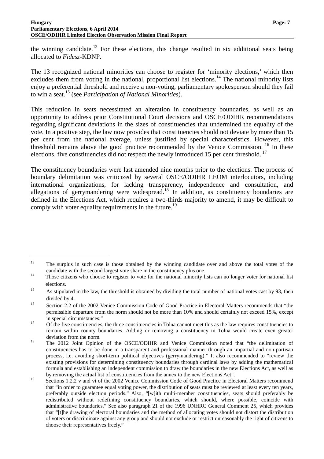#### **Hungary Page: 7 Parliamentary Elections, 6 April 2014 OSCE/ODIHR Limited Election Observation Mission Final Report**

 $\overline{a}$ 

the winning candidate.<sup>13</sup> For these elections, this change resulted in six additional seats being allocated to *Fidesz*-KDNP.

The 13 recognized national minorities can choose to register for 'minority elections,' which then excludes them from voting in the national, proportional list elections.<sup>14</sup> The national minority lists enjoy a preferential threshold and receive a non-voting, parliamentary spokesperson should they fail to win a seat.<sup>15</sup> (see *Participation of National Minorities*).

This reduction in seats necessitated an alteration in constituency boundaries, as well as an opportunity to address prior Constitutional Court decisions and OSCE/ODIHR recommendations regarding significant deviations in the sizes of constituencies that undermined the equality of the vote. In a positive step, the law now provides that constituencies should not deviate by more than 15 per cent from the national average, unless justified by special characteristics. However, this threshold remains above the good practice recommended by the Venice Commission.<sup>16</sup> In these elections, five constituencies did not respect the newly introduced 15 per cent threshold.<sup>17</sup>

The constituency boundaries were last amended nine months prior to the elections. The process of boundary delimitation was criticized by several OSCE/ODIHR LEOM interlocutors, including international organizations, for lacking transparency, independence and consultation, and allegations of gerrymandering were widespread.<sup>18</sup> In addition, as constituency boundaries are defined in the Elections Act, which requires a two-thirds majority to amend, it may be difficult to comply with voter equality requirements in the future.<sup>19</sup>

<sup>&</sup>lt;sup>13</sup> The surplus in such case is those obtained by the winning candidate over and above the total votes of the candidate with the second largest vote share in the constituency plus one.

<sup>&</sup>lt;sup>14</sup> Those citizens who choose to register to vote for the national minority lists can no longer voter for national list elections.

<sup>&</sup>lt;sup>15</sup> As stipulated in the law, the threshold is obtained by dividing the total number of national votes cast by 93, then divided by 4.

<sup>&</sup>lt;sup>16</sup> Section 2.2 of the 2002 Venice Commission Code of Good Practice in Electoral Matters recommends that "the permissible departure from the norm should not be more than 10% and should certainly not exceed 15%, except in special circumstances."

<sup>&</sup>lt;sup>17</sup> Of the five constituencies, the three constituencies in Tolna cannot meet this as the law requires constituencies to remain within county boundaries. Adding or removing a constituency in Tolna would create even greater deviation from the norm.

<sup>&</sup>lt;sup>18</sup> The 2012 Joint Opinion of the OSCE/ODIHR and Venice Commission noted that "the delimitation of constituencies has to be done in a transparent and professional manner through an impartial and non-partisan process, i.e. avoiding short-term political objectives (gerrymandering)." It also recommended to "review the existing provisions for determining constituency boundaries through cardinal laws by adding the mathematical formula and establishing an independent commission to draw the boundaries in the new Elections Act, as well as by removing the actual list of constituencies from the annex to the new Elections Act".

<sup>&</sup>lt;sup>19</sup> Sections 1.2.2 v and vi of the 2002 Venice Commission Code of Good Practice in Electoral Matters recommend that "in order to guarantee equal voting power, the distribution of seats must be reviewed at least every ten years, preferably outside election periods." Also, "[w]ith multi-member constituencies, seats should preferably be redistributed without redefining constituency boundaries, which should, where possible, coincide with administrative boundaries." See also paragraph 21 of the 1996 UNHRC General Comment 25, which provides that "[t]he drawing of electoral boundaries and the method of allocating votes should not distort the distribution of voters or discriminate against any group and should not exclude or restrict unreasonably the right of citizens to choose their representatives freely."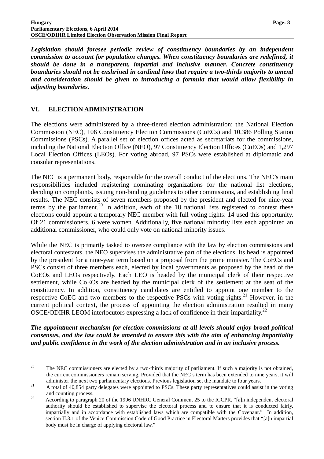*Legislation should foresee periodic review of constituency boundaries by an independent commission to account for population changes. When constituency boundaries are redefined, it should be done in a transparent, impartial and inclusive manner. Concrete constituency boundaries should not be enshrined in cardinal laws that require a two-thirds majority to amend and consideration should be given to introducing a formula that would allow flexibility in adjusting boundaries.* 

# **VI. ELECTION ADMINISTRATION**

 $\overline{a}$ 

The elections were administered by a three-tiered election administration: the National Election Commission (NEC), 106 Constituency Election Commissions (CoECs) and 10,386 Polling Station Commissions (PSCs). A parallel set of election offices acted as secretariats for the commissions, including the National Election Office (NEO), 97 Constituency Election Offices (CoEOs) and 1,297 Local Election Offices (LEOs). For voting abroad, 97 PSCs were established at diplomatic and consular representations.

The NEC is a permanent body, responsible for the overall conduct of the elections. The NEC's main responsibilities included registering nominating organizations for the national list elections, deciding on complaints, issuing non-binding guidelines to other commissions, and establishing final results. The NEC consists of seven members proposed by the president and elected for nine-year terms by the parliament.<sup>20</sup> In addition, each of the 18 national lists registered to contest these elections could appoint a temporary NEC member with full voting rights: 14 used this opportunity. Of 21 commissioners, 6 were women. Additionally, five national minority lists each appointed an additional commissioner, who could only vote on national minority issues.

While the NEC is primarily tasked to oversee compliance with the law by election commissions and electoral contestants, the NEO supervises the administrative part of the elections. Its head is appointed by the president for a nine-year term based on a proposal from the prime minister. The CoECs and PSCs consist of three members each, elected by local governments as proposed by the head of the CoEOs and LEOs respectively. Each LEO is headed by the municipal clerk of their respective settlement, while CoEOs are headed by the municipal clerk of the settlement at the seat of the constituency. In addition, constituency candidates are entitled to appoint one member to the respective CoEC and two members to the respective PSCs with voting rights.<sup>21</sup> However, in the current political context, the process of appointing the election administration resulted in many OSCE/ODIHR LEOM interlocutors expressing a lack of confidence in their impartiality.<sup>22</sup>

*The appointment mechanism for election commissions at all levels should enjoy broad political consensus, and the law could be amended to ensure this with the aim of enhancing impartiality and public confidence in the work of the election administration and in an inclusive process.* 

<sup>&</sup>lt;sup>20</sup> The NEC commissioners are elected by a two-thirds majority of parliament. If such a majority is not obtained, the current commissioners remain serving. Provided that the NEC's term has been extended to nine years, it will administer the next two parliamentary elections. Previous legislation set the mandate to four years.

<sup>&</sup>lt;sup>21</sup> A total of 40,854 party delegates were appointed to PSCs. These party representatives could assist in the voting and counting process.

<sup>&</sup>lt;sup>22</sup> According to paragraph 20 of the 1996 UNHRC General Comment 25 to the ICCPR, "[a]n independent electoral authority should be established to supervise the electoral process and to ensure that it is conducted fairly, impartially and in accordance with established laws which are compatible with the Covenant." In addition, section II.3.1 of the Venice Commission Code of Good Practice in Electoral Matters provides that "[a]n impartial body must be in charge of applying electoral law."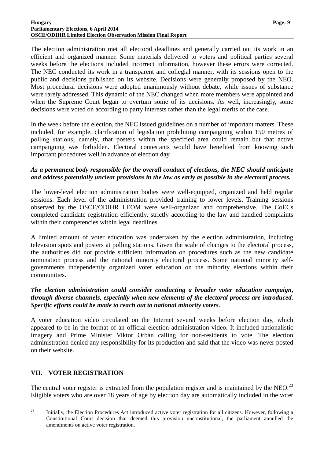#### **Hungary Page: 9 Parliamentary Elections, 6 April 2014 OSCE/ODIHR Limited Election Observation Mission Final Report**

The election administration met all electoral deadlines and generally carried out its work in an efficient and organized manner. Some materials delivered to voters and political parties several weeks before the elections included incorrect information, however these errors were corrected. The NEC conducted its work in a transparent and collegial manner, with its sessions open to the public and decisions published on its website. Decisions were generally proposed by the NEO. Most procedural decisions were adopted unanimously without debate, while issues of substance were rarely addressed. This dynamic of the NEC changed when more members were appointed and when the Supreme Court began to overturn some of its decisions. As well, increasingly, some decisions were voted on according to party interests rather than the legal merits of the case.

In the week before the election, the NEC issued guidelines on a number of important matters. These included, for example, clarification of legislation prohibiting campaigning within 150 metres of polling stations; namely, that posters within the specified area could remain but that active campaigning was forbidden. Electoral contestants would have benefited from knowing such important procedures well in advance of election day.

### *As a permanent body responsible for the overall conduct of elections, the NEC should anticipate and address potentially unclear provisions in the law as early as possible in the electoral process.*

The lower-level election administration bodies were well-equipped, organized and held regular sessions. Each level of the administration provided training to lower levels. Training sessions observed by the OSCE/ODIHR LEOM were well-organized and comprehensive. The CoECs completed candidate registration efficiently, strictly according to the law and handled complaints within their competencies within legal deadlines.

A limited amount of voter education was undertaken by the election administration, including television spots and posters at polling stations. Given the scale of changes to the electoral process, the authorities did not provide sufficient information on procedures such as the new candidate nomination process and the national minority electoral process. Some national minority selfgovernments independently organized voter education on the minority elections within their communities.

### *The election administration could consider conducting a broader voter education campaign, through diverse channels, especially when new elements of the electoral process are introduced. Specific efforts could be made to reach out to national minority voters.*

A voter education video circulated on the Internet several weeks before election day, which appeared to be in the format of an official election administration video. It included nationalistic imagery and Prime Minister Viktor Orbán calling for non-residents to vote. The election administration denied any responsibility for its production and said that the video was never posted on their website.

# **VII. VOTER REGISTRATION**

 $\overline{a}$ 

The central voter register is extracted from the population register and is maintained by the NEO.<sup>23</sup> Eligible voters who are over 18 years of age by election day are automatically included in the voter

<sup>&</sup>lt;sup>23</sup> Initially, the Election Procedures Act introduced active voter registration for all citizens. However, following a Constitutional Court decision that deemed this provision unconstitutional, the parliament annulled the amendments on active voter registration.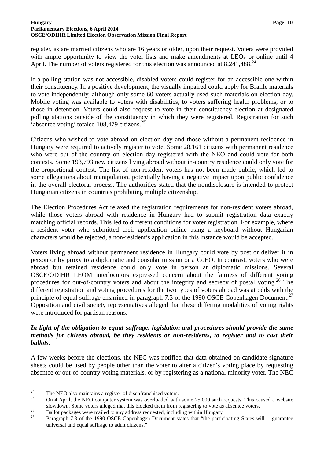register, as are married citizens who are 16 years or older, upon their request. Voters were provided with ample opportunity to view the voter lists and make amendments at LEOs or online until 4 April. The number of voters registered for this election was announced at  $8,241,488$ .<sup>24</sup>

If a polling station was not accessible, disabled voters could register for an accessible one within their constituency. In a positive development, the visually impaired could apply for Braille materials to vote independently, although only some 60 voters actually used such materials on election day. Mobile voting was available to voters with disabilities, to voters suffering health problems, or to those in detention. Voters could also request to vote in their constituency election at designated polling stations outside of the constituency in which they were registered. Registration for such 'absentee voting' totaled 108,479 citizens.<sup>25</sup>

Citizens who wished to vote abroad on election day and those without a permanent residence in Hungary were required to actively register to vote. Some 28,161 citizens with permanent residence who were out of the country on election day registered with the NEO and could vote for both contests. Some 193,793 new citizens living abroad without in-country residence could only vote for the proportional contest. The list of non-resident voters has not been made public, which led to some allegations about manipulation, potentially having a negative impact upon public confidence in the overall electoral process. The authorities stated that the nondisclosure is intended to protect Hungarian citizens in countries prohibiting multiple citizenship.

The Election Procedures Act relaxed the registration requirements for non-resident voters abroad, while those voters abroad with residence in Hungary had to submit registration data exactly matching official records. This led to different conditions for voter registration. For example, where a resident voter who submitted their application online using a keyboard without Hungarian characters would be rejected, a non-resident's application in this instance would be accepted.

Voters living abroad without permanent residence in Hungary could vote by post or deliver it in person or by proxy to a diplomatic and consular mission or a CoEO. In contrast, voters who were abroad but retained residence could only vote in person at diplomatic missions. Several OSCE/ODIHR LEOM interlocutors expressed concern about the fairness of different voting procedures for out-of-country voters and about the integrity and secrecy of postal voting.<sup>26</sup> The different registration and voting procedures for the two types of voters abroad was at odds with the principle of equal suffrage enshrined in paragraph 7.3 of the 1990 OSCE Copenhagen Document.<sup>27</sup> Opposition and civil society representatives alleged that these differing modalities of voting rights were introduced for partisan reasons.

# *In light of the obligation to equal suffrage, legislation and procedures should provide the same methods for citizens abroad, be they residents or non-residents, to register and to cast their ballots.*

A few weeks before the elections, the NEC was notified that data obtained on candidate signature sheets could be used by people other than the voter to alter a citizen's voting place by requesting absentee or out-of-country voting materials, or by registering as a national minority voter. The NEC

<sup>&</sup>lt;sup>24</sup> The NEO also maintains a register of disenfranchised voters.

<sup>25</sup> On 4 April, the NEO computer system was overloaded with some 25,000 such requests. This caused a website slowdown. Some voters alleged that this blocked them from registering to vote as absentee voters.

<sup>&</sup>lt;sup>26</sup> Ballot packages were mailed to any address requested, including within Hungary.

Paragraph 7.3 of the 1990 OSCE Copenhagen Document states that "the participating States will... guarantee universal and equal suffrage to adult citizens."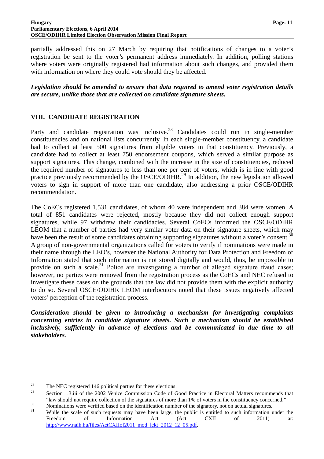partially addressed this on 27 March by requiring that notifications of changes to a voter's registration be sent to the voter's permanent address immediately. In addition, polling stations where voters were originally registered had information about such changes, and provided them with information on where they could vote should they be affected.

*Legislation should be amended to ensure that data required to amend voter registration details are secure, unlike those that are collected on candidate signature sheets.*

### **VIII. CANDIDATE REGISTRATION**

Party and candidate registration was inclusive.<sup>28</sup> Candidates could run in single-member constituencies and on national lists concurrently. In each single-member constituency, a candidate had to collect at least 500 signatures from eligible voters in that constituency. Previously, a candidate had to collect at least 750 endorsement coupons, which served a similar purpose as support signatures. This change, combined with the increase in the size of constituencies, reduced the required number of signatures to less than one per cent of voters, which is in line with good practice previously recommended by the OSCE/ODIHR.<sup>29</sup> In addition, the new legislation allowed voters to sign in support of more than one candidate, also addressing a prior OSCE/ODIHR recommendation.

The CoECs registered 1,531 candidates, of whom 40 were independent and 384 were women. A total of 851 candidates were rejected, mostly because they did not collect enough support signatures, while 97 withdrew their candidacies. Several CoECs informed the OSCE/ODIHR LEOM that a number of parties had very similar voter data on their signature sheets, which may have been the result of some candidates obtaining supporting signatures without a voter's consent.<sup>30</sup> A group of non-governmental organizations called for voters to verify if nominations were made in their name through the LEO's, however the National Authority for Data Protection and Freedom of Information stated that such information is not stored digitally and would, thus, be impossible to provide on such a scale.<sup>31</sup> Police are investigating a number of alleged signature fraud cases; however, no parties were removed from the registration process as the CoECs and NEC refused to investigate these cases on the grounds that the law did not provide them with the explicit authority to do so. Several OSCE/ODIHR LEOM interlocutors noted that these issues negatively affected voters' perception of the registration process.

*Consideration should be given to introducing a mechanism for investigating complaints concerning entries in candidate signature sheets. Such a mechanism should be established inclusively, sufficiently in advance of elections and be communicated in due time to all stakeholders.*

<sup>&</sup>lt;sup>28</sup> The NEC registered 146 political parties for these elections.<br><sup>29</sup> Section 1.2<sup>33</sup> of the 2002 Varies Commission Gade of G

<sup>29</sup> Section 1.3.iii of the 2002 Venice Commission Code of Good Practice in Electoral Matters recommends that "law should not require collection of the signatures of more than 1% of voters in the constituency concerned."

<sup>&</sup>lt;sup>30</sup> Nominations were verified based on the identification number of the signatory, not on actual signatures.

While the scale of such requests may have been large, the public is entitled to such information under the Freedom of Information Act (Act CXII of 2011) at: http://www.naih.hu/files/ActCXIIof2011\_mod\_lekt\_2012\_12\_05.pdf.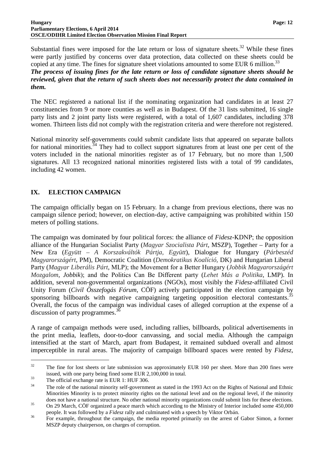Substantial fines were imposed for the late return or loss of signature sheets.<sup>32</sup> While these fines were partly justified by concerns over data protection, data collected on these sheets could be copied at any time. The fines for signature sheet violations amounted to some EUR 6 million.<sup>33</sup>

*The process of issuing fines for the late return or loss of candidate signature sheets should be reviewed, given that the return of such sheets does not necessarily protect the data contained in them.* 

The NEC registered a national list if the nominating organization had candidates in at least 27 constituencies from 9 or more counties as well as in Budapest. Of the 31 lists submitted, 16 single party lists and 2 joint party lists were registered, with a total of 1,607 candidates, including 378 women. Thirteen lists did not comply with the registration criteria and were therefore not registered.

National minority self-governments could submit candidate lists that appeared on separate ballots for national minorities.<sup>34</sup> They had to collect support signatures from at least one per cent of the voters included in the national minorities register as of 17 February, but no more than 1,500 signatures. All 13 recognized national minorities registered lists with a total of 99 candidates, including 42 women.

# **IX. ELECTION CAMPAIGN**

The campaign officially began on 15 February. In a change from previous elections, there was no campaign silence period; however, on election-day, active campaigning was prohibited within 150 meters of polling stations.

The campaign was dominated by four political forces: the alliance of *Fidesz*-KDNP; the opposition alliance of the Hungarian Socialist Party (*Magyar Szocialista Párt*, MSZP), Together – Party for a New Era (*Együtt – A Korszakváltók Pártja*, *Együtt*), Dialogue for Hungary (*Párbeszéd Magyarországért*, PM), Democratic Coalition (*Demokratikus Koalíció,* DK) and Hungarian Liberal Party (*Magyar Liberális Párt*, MLP); the Movement for a Better Hungary (*Jobbik Magyarországért Mozgalom*, *Jobbik*); and the Politics Can Be Different party (*Lehet Más a Politika*, LMP). In addition, several non-governmental organizations (NGOs), most visibly the *Fidesz*-affiliated Civil Unity Forum (*Civil Összefogás Fórum*, CÖF) actively participated in the election campaign by sponsoring billboards with negative campaigning targeting opposition electoral contestants.<sup>35</sup> Overall, the focus of the campaign was individual cases of alleged corruption at the expense of a discussion of party programmes.<sup>36</sup>

A range of campaign methods were used, including rallies, billboards, political advertisements in the print media, leaflets, door-to-door canvassing, and social media. Although the campaign intensified at the start of March, apart from Budapest, it remained subdued overall and almost imperceptible in rural areas. The majority of campaign billboard spaces were rented by *Fidesz*,

 $32$  The fine for lost sheets or late submission was approximately EUR 160 per sheet. More than 200 fines were issued, with one party being fined some EUR 2,100,000 in total.

 $\frac{33}{100}$  The official exchange rate is EUR 1: HUF 306.

The role of the national minority self-government as stated in the 1993 Act on the Rights of National and Ethnic Minorities Minority is to protect minority rights on the national level and on the regional level, if the minority does not have a national structure. No other national minority organizations could submit lists for these elections.

<sup>&</sup>lt;sup>35</sup> On 29 March, CÖF organized a peace march which according to the Ministry of Interior included some 450,000 people. It was followed by a *Fidesz* rally and culminated with a speech by Viktor Orb**á**n.

<sup>&</sup>lt;sup>36</sup> For example, throughout the campaign, the media reported primarily on the arrest of Gabor Simon, a former MSZP deputy chairperson, on charges of corruption.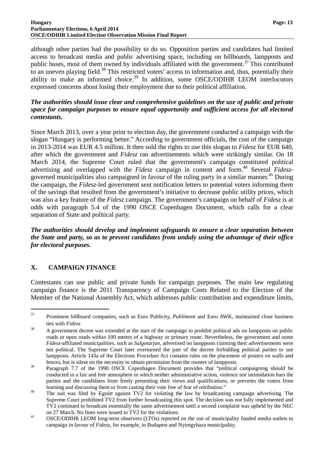#### **Hungary Page: 13 Parliamentary Elections, 6 April 2014 OSCE/ODIHR Limited Election Observation Mission Final Report**

although other parties had the possibility to do so. Opposition parties and candidates had limited access to broadcast media and public advertising space, including on billboards, lampposts and public buses, most of them owned by individuals affiliated with the government.<sup>37</sup> This contributed to an uneven playing field.<sup>38</sup> This restricted voters' access to information and, thus, potentially their ability to make an informed choice.<sup>39</sup> In addition, some OSCE/ODIHR LEOM interlocutors expressed concerns about losing their employment due to their political affiliation.

# *The authorities should issue clear and comprehensive guidelines on the use of public and private space for campaign purposes to ensure equal opportunity and sufficient access for all electoral contestants.*

Since March 2013, over a year prior to election day, the government conducted a campaign with the slogan "Hungary is performing better." According to government officials, the cost of the campaign in 2013-2014 was EUR 4.5 million. It then sold the rights to use this slogan to *Fidesz* for EUR 640, after which the government and *Fidesz* ran advertisements which were strikingly similar. On 18 March 2014, the Supreme Court ruled that the government's campaign constituted political advertising and overlapped with the *Fidesz* campaign in content and form.<sup>40</sup> Several *Fidesz*governed municipalities also campaigned in favour of the ruling party in a similar manner.<sup>41</sup> During the campaign, the *Fidesz*-led government sent notification letters to potential voters informing them of the savings that resulted from the government's initiative to decrease public utility prices, which was also a key feature of the *Fidesz* campaign. The government's campaign on behalf of *Fidesz* is at odds with paragraph 5.4 of the 1990 OSCE Copenhagen Document, which calls for a clear separation of State and political party.

*The authorities should develop and implement safeguards to ensure a clear separation between the State and party, so as to prevent candidates from unduly using the advantage of their office for electoral purposes.* 

# **X. CAMPAIGN FINANCE**

 $\overline{a}$ 

Contestants can use public and private funds for campaign purposes. The main law regulating campaign finance is the 2011 Transparency of Campaign Costs Related to the Election of the Member of the National Assembly Act, which addresses public contribution and expenditure limits,

<sup>37</sup> Prominent billboard companies, such as Euro Publicity, *Publimont* and Euro AWK, maintained close business ties with *Fidesz*

<sup>&</sup>lt;sup>38</sup> A government decree was extended at the start of the campaign to prohibit political ads on lampposts on public roads or open roads within 100 meters of a highway or primary route. Nevertheless, the government and some *Fidesz*-affiliated municipalities, such as *Salgotarjan*, advertised on lampposts claiming their advertisements were not political. The Supreme Court later overturned the part of the decree forbidding political parties to use lampposts. Article 143a of the Elections Procedure Act contains rules on the placement of posters on walls and fences, but is silent on the necessity to obtain permission from the owners of lampposts.

<sup>&</sup>lt;sup>39</sup> Paragraph 7.7 of the 1990 OSCE Copenhagen Document provides that "political campaigning should be conducted in a fair and free atmosphere in which neither administrative action, violence nor intimidation bars the parties and the candidates from freely presenting their views and qualifications, or prevents the voters from learning and discussing them or from casting their vote free of fear of retribution."

<sup>40</sup> The suit was filed by *Együtt* against TV2 for violating the law by broadcasting campaign advertising. The Supreme Court prohibited TV2 from further broadcasting this spot. The decision was not fully implemented and TV2 continued to broadcast essentially the same advertisement until a second complaint was upheld by the NEC on 27 March. No fines were issued to TV2 for the violations.

<sup>&</sup>lt;sup>41</sup> OSCE/ODIHR LEOM long-term observers (LTOs) reported on the use of municipality funded media outlets to campaign in favour of *Fidesz*, for example, in Budapest and Nyiregyhaza municipality.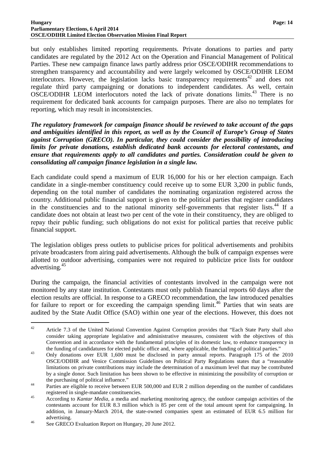#### **Hungary Page: 14 Parliamentary Elections, 6 April 2014 OSCE/ODIHR Limited Election Observation Mission Final Report**

but only establishes limited reporting requirements. Private donations to parties and party candidates are regulated by the 2012 Act on the Operation and Financial Management of Political Parties. These new campaign finance laws partly address prior OSCE/ODIHR recommendations to strengthen transparency and accountability and were largely welcomed by OSCE/ODIHR LEOM interlocutors. However, the legislation lacks basic transparency requirements<sup>42</sup> and does not regulate third party campaigning or donations to independent candidates. As well, certain OSCE/ODIHR LEOM interlocutors noted the lack of private donations limits.<sup>43</sup> There is no requirement for dedicated bank accounts for campaign purposes. There are also no templates for reporting, which may result in inconsistencies.

*The regulatory framework for campaign finance should be reviewed to take account of the gaps and ambiguities identified in this report, as well as by the Council of Europe's Group of States against Corruption (GRECO). In particular, they could consider the possibility of introducing limits for private donations, establish dedicated bank accounts for electoral contestants, and ensure that requirements apply to all candidates and parties. Consideration could be given to consolidating all campaign finance legislation in a single law.* 

Each candidate could spend a maximum of EUR 16,000 for his or her election campaign. Each candidate in a single-member constituency could receive up to some EUR 3,200 in public funds, depending on the total number of candidates the nominating organization registered across the country. Additional public financial support is given to the political parties that register candidates in the constituencies and to the national minority self-governments that register lists.<sup>44</sup> If a candidate does not obtain at least two per cent of the vote in their constituency, they are obliged to repay their public funding; such obligations do not exist for political parties that receive public financial support.

The legislation obliges press outlets to publicise prices for political advertisements and prohibits private broadcasters from airing paid advertisements. Although the bulk of campaign expenses were allotted to outdoor advertising, companies were not required to publicize price lists for outdoor advertising.<sup>45</sup>

During the campaign, the financial activities of contestants involved in the campaign were not monitored by any state institution. Contestants must only publish financial reports 60 days after the election results are official. In response to a GRECO recommendation, the law introduced penalties for failure to report or for exceeding the campaign spending limit.<sup>46</sup> Parties that win seats are audited by the State Audit Office (SAO) within one year of the elections. However, this does not

<sup>&</sup>lt;sup>42</sup> Article 7.3 of the United National Convention Against Corruption provides that "Each State Party shall also consider taking appropriate legislative and administrative measures, consistent with the objectives of this Convention and in accordance with the fundamental principles of its domestic law, to enhance transparency in the funding of candidatures for elected public office and, where applicable, the funding of political parties."

<sup>&</sup>lt;sup>43</sup> Only donations over EUR 1,600 must be disclosed in party annual reports. Paragraph 175 of the 2010 OSCE/ODIHR and Venice Commission Guidelines on Political Party Regulations states that a "reasonable limitations on private contributions may include the determination of a maximum level that may be contributed by a single donor. Such limitation has been shown to be effective in minimizing the possibility of corruption or the purchasing of political influence."

<sup>&</sup>lt;sup>44</sup> Parties are eligible to receive between EUR 500,000 and EUR 2 million depending on the number of candidates registered in single-mandate constituencies.

<sup>45</sup> According to *Kantar Media*, a media and marketing monitoring agency, the outdoor campaign activities of the contestants account for EUR 8.3 million which is 85 per cent of the total amount spent for campaigning. In addition, in January-March 2014, the state-owned companies spent an estimated of EUR 6.5 million for advertising.

<sup>&</sup>lt;sup>46</sup> See GRECO Evaluation Report on Hungary, 20 June 2012.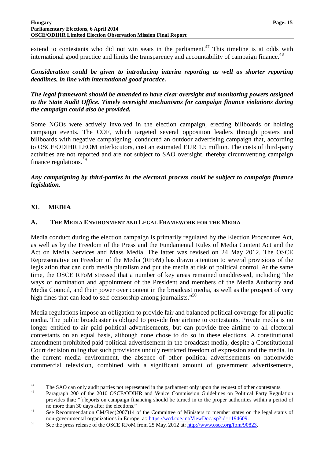#### **Hungary Page: 15 Parliamentary Elections, 6 April 2014 OSCE/ODIHR Limited Election Observation Mission Final Report**

extend to contestants who did not win seats in the parliament.<sup>47</sup> This timeline is at odds with international good practice and limits the transparency and accountability of campaign finance.<sup>48</sup>

*Consideration could be given to introducing interim reporting as well as shorter reporting deadlines, in line with international good practice.* 

*The legal framework should be amended to have clear oversight and monitoring powers assigned to the State Audit Office. Timely oversight mechanisms for campaign finance violations during the campaign could also be provided.* 

Some NGOs were actively involved in the election campaign, erecting billboards or holding campaign events. The CÖF, which targeted several opposition leaders through posters and billboards with negative campaigning, conducted an outdoor advertising campaign that, according to OSCE/ODIHR LEOM interlocutors, cost an estimated EUR 1.5 million. The costs of third-party activities are not reported and are not subject to SAO oversight, thereby circumventing campaign finance regulations. $49$ 

*Any campaigning by third-parties in the electoral process could be subject to campaign finance legislation.*

# **XI. MEDIA**

 $\overline{a}$ 

### **A. THE MEDIA ENVIRONMENT AND LEGAL FRAMEWORK FOR THE MEDIA**

Media conduct during the election campaign is primarily regulated by the Election Procedures Act, as well as by the Freedom of the Press and the Fundamental Rules of Media Content Act and the Act on Media Services and Mass Media. The latter was revised on 24 May 2012. The OSCE Representative on Freedom of the Media (RFoM) has drawn attention to several provisions of the legislation that can curb media pluralism and put the media at risk of political control. At the same time, the OSCE RFoM stressed that a number of key areas remained unaddressed, including "the ways of nomination and appointment of the President and members of the Media Authority and Media Council, and their power over content in the broadcast media, as well as the prospect of very high fines that can lead to self-censorship among journalists."<sup>50</sup>

Media regulations impose an obligation to provide fair and balanced political coverage for all public media. The public broadcaster is obliged to provide free airtime to contestants. Private media is no longer entitled to air paid political advertisements, but can provide free airtime to all electoral contestants on an equal basis, although none chose to do so in these elections. A constitutional amendment prohibited paid political advertisement in the broadcast media, despite a Constitutional Court decision ruling that such provisions unduly restricted freedom of expression and the media. In the current media environment, the absence of other political advertisements on nationwide commercial television, combined with a significant amount of government advertisements,

<sup>&</sup>lt;sup>47</sup> The SAO can only audit parties not represented in the parliament only upon the request of other contestants.

Paragraph 200 of the 2010 OSCE/ODIHR and Venice Commission Guidelines on Political Party Regulation provides that: "[r]eports on campaign financing should be turned in to the proper authorities within a period of no more than 30 days after the elections."

<sup>&</sup>lt;sup>49</sup> See Recommendation CM/Rec(2007)14 of the Committee of Ministers to member states on the legal status of non-governmental organizations in Europe, at: https://wcd.coe.int/ViewDoc.jsp?id=1194609.

<sup>&</sup>lt;sup>50</sup> See the press release of the OSCE RFoM from 25 May, 2012 at: http://www.osce.org/fom/90823.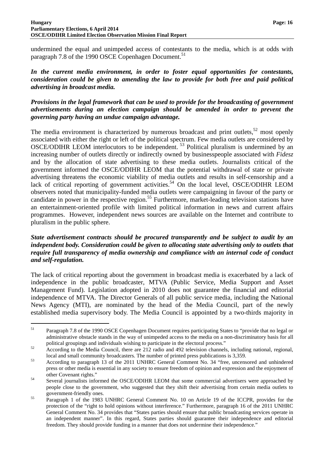#### **Hungary Page: 16 Parliamentary Elections, 6 April 2014 OSCE/ODIHR Limited Election Observation Mission Final Report**

undermined the equal and unimpeded access of contestants to the media, which is at odds with paragraph 7.8 of the 1990 OSCE Copenhagen Document.<sup>51</sup>

# *In the current media environment, in order to foster equal opportunities for contestants, consideration could be given to amending the law to provide for both free and paid political advertising in broadcast media.*

### *Provisions in the legal framework that can be used to provide for the broadcasting of government advertisements during an election campaign should be amended in order to prevent the governing party having an undue campaign advantage.*

The media environment is characterized by numerous broadcast and print outlets,  $52 \text{ most openly}$ associated with either the right or left of the political spectrum. Few media outlets are considered by OSCE/ODIHR LEOM interlocutors to be independent.<sup>53</sup> Political pluralism is undermined by an increasing number of outlets directly or indirectly owned by businesspeople associated with *Fidesz* and by the allocation of state advertising to these media outlets. Journalists critical of the government informed the OSCE/ODIHR LEOM that the potential withdrawal of state or private advertising threatens the economic viability of media outlets and results in self-censorship and a lack of critical reporting of government activities.<sup>54</sup> On the local level, OSCE/ODIHR LEOM observers noted that municipality-funded media outlets were campaigning in favour of the party or candidate in power in the respective region.<sup>55</sup> Furthermore, market-leading television stations have an entertainment-oriented profile with limited political information in news and current affairs programmes. However, independent news sources are available on the Internet and contribute to pluralism in the public sphere.

### *State advertisement contracts should be procured transparently and be subject to audit by an independent body. Consideration could be given to allocating state advertising only to outlets that require full transparency of media ownership and compliance with an internal code of conduct and self-regulation.*

The lack of critical reporting about the government in broadcast media is exacerbated by a lack of independence in the public broadcaster, MTVA (Public Service, Media Support and Asset Management Fund). Legislation adopted in 2010 does not guarantee the financial and editorial independence of MTVA. The Director Generals of all public service media, including the National News Agency (MTI), are nominated by the head of the Media Council, part of the newly established media supervisory body. The Media Council is appointed by a two-thirds majority in

<sup>&</sup>lt;sup>51</sup> Paragraph 7.8 of the 1990 OSCE Copenhagen Document requires participating States to "provide that no legal or administrative obstacle stands in the way of unimpeded access to the media on a non-discriminatory basis for all political groupings and individuals wishing to participate in the electoral process."

<sup>&</sup>lt;sup>52</sup> According to the Media Council, there are 212 radio and 492 television channels, including national, regional, local and small community broadcasters. The number of printed press publications is 3,359.

<sup>53</sup> According to paragraph 13 of the 2011 UNHRC General Comment No. 34 "free, uncensored and unhindered press or other media is essential in any society to ensure freedom of opinion and expression and the enjoyment of other Covenant rights."

<sup>54</sup> Several journalists informed the OSCE/ODIHR LEOM that some commercial advertisers were approached by people close to the government, who suggested that they shift their advertising from certain media outlets to government-friendly ones.

<sup>55</sup> Paragraph 1 of the 1983 UNHRC General Comment No. 10 on Article 19 of the ICCPR, provides for the protection of the "right to hold opinions without interference." Furthermore, paragraph 16 of the 2011 UNHRC General Comment No. 34 provides that "States parties should ensure that public broadcasting services operate in an independent manner". In this regard, States parties should guarantee their independence and editorial freedom. They should provide funding in a manner that does not undermine their independence."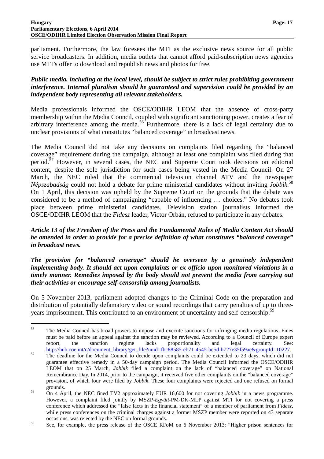parliament. Furthermore, the law foresees the MTI as the exclusive news source for all public service broadcasters. In addition, media outlets that cannot afford paid-subscription news agencies use MTI's offer to download and republish news and photos for free.

### *Public media, including at the local level, should be subject to strict rules prohibiting government interference. Internal pluralism should be guaranteed and supervision could be provided by an independent body representing all relevant stakeholders.*

Media professionals informed the OSCE/ODIHR LEOM that the absence of cross-party membership within the Media Council, coupled with significant sanctioning power, creates a fear of arbitrary interference among the media.<sup>56</sup> Furthermore, there is a lack of legal certainty due to unclear provisions of what constitutes "balanced coverage" in broadcast news.

The Media Council did not take any decisions on complaints filed regarding the "balanced coverage" requirement during the campaign, although at least one complaint was filed during that period.<sup>57</sup> However, in several cases, the NEC and Supreme Court took decisions on editorial content, despite the sole jurisdiction for such cases being vested in the Media Council. On 27 March, the NEC ruled that the commercial television channel ATV and the newspaper *Népszabadság* could not hold a debate for prime ministerial candidates without inviting *Jobbik*. 58 On 1 April, this decision was upheld by the Supreme Court on the grounds that the debate was considered to be a method of campaigning "capable of influencing … choices." No debates took place between prime ministerial candidates. Television station journalists informed the OSCE/ODIHR LEOM that the *Fidesz* leader, Victor Orbán, refused to participate in any debates.

### *Article 13 of the Freedom of the Press and the Fundamental Rules of Media Content Act should be amended in order to provide for a precise definition of what constitutes "balanced coverage" in broadcast news.*

*The provision for "balanced coverage" should be overseen by a genuinely independent implementing body. It should act upon complaints or ex officio upon monitored violations in a timely manner. Remedies imposed by the body should not prevent the media from carrying out their activities or encourage self-censorship among journalists.* 

On 5 November 2013, parliament adopted changes to the Criminal Code on the preparation and distribution of potentially defamatory video or sound recordings that carry penalties of up to threeyears imprisonment. This contributed to an environment of uncertainty and self-censorship.<sup>59</sup>

<sup>&</sup>lt;sup>56</sup> The Media Council has broad powers to impose and execute sanctions for infringing media regulations. Fines must be paid before an appeal against the sanction may be reviewed. According to a Council of Europe expert report, the sanction regime lacks proportionality and legal certainty. See: http://hub.coe.int/c/document\_library/get\_file?uuid=fbc88585-eb71-4545-bc5d-b727e35f59ae&groupId=10227.

<sup>&</sup>lt;sup>57</sup> The deadline for the Media Council to decide upon complaints could be extended to 23 days, which did not guarantee effective remedy in a 50-day campaign period. The Media Council informed the OSCE/ODIHR LEOM that on 25 March, *Jobbik* filed a complaint on the lack of "balanced coverage" on National Remembrance Day. In 2014, prior to the campaign, it received five other complaints on the "balanced coverage" provision, of which four were filed by *Jobbik*. These four complaints were rejected and one refused on formal grounds.

<sup>58</sup> On 4 April, the NEC fined TV2 approximately EUR 16,600 for not covering *Jobbik* in a news programme. However, a complaint filed jointly by MSZP-*Együtt*-PM-DK-MLP against MTI for not covering a press conference which addressed the "false facts in the financial statement" of a member of parliament from *Fidesz*, while press conferences on the criminal charges against a former MSZP member were reported on 43 separate occasions, was rejected by the NEC on formal grounds.

<sup>&</sup>lt;sup>59</sup> See, for example, the press release of the OSCE RFoM on 6 November 2013: "Higher prison sentences for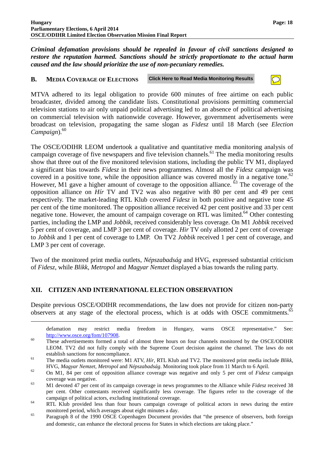*Criminal defamation provisions should be repealed in favour of civil sanctions designed to restore the reputation harmed. Sanctions should be strictly proportionate to the actual harm caused and the law should prioritize the use of non-pecuniary remedies.* 

#### **B. MEDIA COVERAGE OF ELECTIONS Click Here to Read Media Monitoring Results**

MTVA adhered to its legal obligation to provide 600 minutes of free airtime on each public broadcaster, divided among the candidate lists. Constitutional provisions permitting commercial television stations to air only unpaid political advertising led to an absence of political advertising on commercial television with nationwide coverage. However, government advertisements were broadcast on television, propagating the same slogan as *Fidesz* until 18 March (see *Election*   $Campalign$ <sup>60</sup>

The OSCE/ODIHR LEOM undertook a qualitative and quantitative media monitoring analysis of campaign coverage of five newspapers and five television channels.<sup>61</sup> The media monitoring results show that three out of the five monitored television stations, including the public TV M1, displayed a significant bias towards *Fidesz* in their news programmes. Almost all the *Fidesz* campaign was covered in a positive tone, while the opposition alliance was covered mostly in a negative tone.<sup>62</sup> However, M1 gave a higher amount of coverage to the opposition alliance.<sup>63</sup> The coverage of the opposition alliance on *Hír* TV and TV2 was also negative with 80 per cent and 49 per cent respectively. The market-leading RTL Klub covered *Fidesz* in both positive and negative tone 45 per cent of the time monitored. The opposition alliance received 42 per cent positive and 33 per cent negative tone. However, the amount of campaign coverage on RTL was limited.<sup>64</sup> Other contesting parties, including the LMP and *Jobbik*, received considerably less coverage. On M1 *Jobbik* received 5 per cent of coverage, and LMP 3 per cent of coverage. *Hir* TV only allotted 2 per cent of coverage to *Jobbik* and 1 per cent of coverage to LMP. On TV2 *Jobbik* received 1 per cent of coverage, and LMP 3 per cent of coverage.

Two of the monitored print media outlets, *Népszabadság* and HVG, expressed substantial criticism of *Fidesz*, while *Blikk*, *Metropol* and *Magyar Nemzet* displayed a bias towards the ruling party.

# **XII. CITIZEN AND INTERNATIONAL ELECTION OBSERVATION**

 $\overline{a}$ 

Despite previous OSCE/ODIHR recommendations, the law does not provide for citizen non-party observers at any stage of the electoral process, which is at odds with OSCE commitments.<sup>65</sup>

defamation may restrict media freedom in Hungary, warns OSCE representative." See: http://www.osce.org/fom/107908.

<sup>&</sup>lt;sup>60</sup> These advertisements formed a total of almost three hours on four channels monitored by the OSCE/ODIHR LEOM. TV2 did not fully comply with the Supreme Court decision against the channel. The laws do not establish sanctions for noncompliance.

<sup>61</sup> The media outlets monitored were: M1 ATV, *Hír*, RTL Klub and TV2. The monitored print media include *Blikk*, HVG, *Magyar Nemzet*, *Metropol* and *Népszabadság*. Monitoring took place from 11 March to 6 April.

<sup>62</sup> On M1, 84 per cent of opposition alliance coverage was negative and only 5 per cent of *Fidesz* campaign coverage was negative.

<sup>63</sup> M1 devoted 47 per cent of its campaign coverage in news programmes to the Alliance while *Fidesz* received 38 per cent. Other contestants received significantly less coverage. The figures refer to the coverage of the campaign of political actors, excluding institutional coverage.

<sup>&</sup>lt;sup>64</sup> RTL Klub provided less than four hours campaign coverage of political actors in news during the entire monitored period, which averages about eight minutes a day.

<sup>&</sup>lt;sup>65</sup> Paragraph 8 of the 1990 OSCE Copenhagen Document provides that "the presence of observers, both foreign and domestic, can enhance the electoral process for States in which elections are taking place."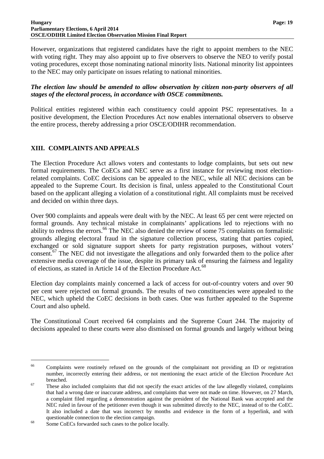#### **Hungary Page: 19 Parliamentary Elections, 6 April 2014 OSCE/ODIHR Limited Election Observation Mission Final Report**

However, organizations that registered candidates have the right to appoint members to the NEC with voting right. They may also appoint up to five observers to observe the NEO to verify postal voting procedures, except those nominating national minority lists. National minority list appointees to the NEC may only participate on issues relating to national minorities.

### *The election law should be amended to allow observation by citizen non-party observers of all stages of the electoral process, in accordance with OSCE commitments.*

Political entities registered within each constituency could appoint PSC representatives. In a positive development, the Election Procedures Act now enables international observers to observe the entire process, thereby addressing a prior OSCE/ODIHR recommendation.

# **XIII. COMPLAINTS AND APPEALS**

The Election Procedure Act allows voters and contestants to lodge complaints, but sets out new formal requirements. The CoECs and NEC serve as a first instance for reviewing most electionrelated complaints. CoEC decisions can be appealed to the NEC, while all NEC decisions can be appealed to the Supreme Court. Its decision is final, unless appealed to the Constitutional Court based on the applicant alleging a violation of a constitutional right. All complaints must be received and decided on within three days.

Over 900 complaints and appeals were dealt with by the NEC. At least 65 per cent were rejected on formal grounds. Any technical mistake in complainants' applications led to rejections with no ability to redress the errors.<sup>66</sup> The NEC also denied the review of some 75 complaints on formalistic grounds alleging electoral fraud in the signature collection process, stating that parties copied, exchanged or sold signature support sheets for party registration purposes, without voters' consent.<sup>67</sup> The NEC did not investigate the allegations and only forwarded them to the police after extensive media coverage of the issue, despite its primary task of ensuring the fairness and legality of elections, as stated in Article 14 of the Election Procedure Act.<sup>68</sup>

Election day complaints mainly concerned a lack of access for out-of-country voters and over 90 per cent were rejected on formal grounds. The results of two constituencies were appealed to the NEC, which upheld the CoEC decisions in both cases. One was further appealed to the Supreme Court and also upheld.

The Constitutional Court received 64 complaints and the Supreme Court 244. The majority of decisions appealed to these courts were also dismissed on formal grounds and largely without being

<sup>&</sup>lt;sup>66</sup> Complaints were routinely refused on the grounds of the complainant not providing an ID or registration number, incorrectly entering their address, or not mentioning the exact article of the Election Procedure Act breached.

 $\frac{67}{100}$  These also included complaints that did not specify the exact articles of the law allegedly violated, complaints that had a wrong date or inaccurate address, and complaints that were not made on time. However, on 27 March, a complaint filed regarding a demonstration against the president of the National Bank was accepted and the NEC ruled in favour of the petitioner even though it was submitted directly to the NEC, instead of to the CoEC. It also included a date that was incorrect by months and evidence in the form of a hyperlink, and with questionable connection to the election campaign.

<sup>68</sup> Some CoECs forwarded such cases to the police locally.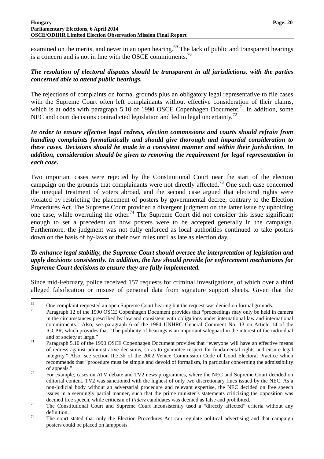examined on the merits, and never in an open hearing.<sup>69</sup> The lack of public and transparent hearings is a concern and is not in line with the OSCE commitments.<sup>70</sup>

# *The resolution of electoral disputes should be transparent in all jurisdictions, with the parties concerned able to attend public hearings.*

The rejections of complaints on formal grounds plus an obligatory legal representative to file cases with the Supreme Court often left complainants without effective consideration of their claims, which is at odds with paragraph 5.10 of 1990 OSCE Copenhagen Document.<sup>71</sup> In addition, some NEC and court decisions contradicted legislation and led to legal uncertainty.<sup>72</sup>

### *In order to ensure effective legal redress, election commissions and courts should refrain from handling complaints formalistically and should give thorough and impartial consideration to these cases. Decisions should be made in a consistent manner and within their jurisdiction. In addition, consideration should be given to removing the requirement for legal representation in each case.*

Two important cases were rejected by the Constitutional Court near the start of the election campaign on the grounds that complainants were not directly affected.<sup>73</sup> One such case concerned the unequal treatment of voters abroad, and the second case argued that electoral rights were violated by restricting the placement of posters by governmental decree, contrary to the Election Procedures Act. The Supreme Court provided a divergent judgment on the latter issue by upholding one case, while overruling the other.<sup>74</sup> The Supreme Court did not consider this issue significant enough to set a precedent on how posters were to be accepted generally in the campaign. Furthermore, the judgment was not fully enforced as local authorities continued to take posters down on the basis of by-laws or their own rules until as late as election day.

### *To enhance legal stability, the Supreme Court should oversee the interpretation of legislation and apply decisions consistently. In addition, the law should provide for enforcement mechanisms for Supreme Court decisions to ensure they are fully implemented.*

Since mid-February, police received 157 requests for criminal investigations, of which over a third alleged falsification or misuse of personal data from signature support sheets. Given that the

 $\frac{69}{70}$  One complaint requested an open Supreme Court hearing but the request was denied on formal grounds.

Paragraph 12 of the 1990 OSCE Copenhagen Document provides that "proceedings may only be held in camera in the circumstances prescribed by law and consistent with obligations under international law and international commitments." Also, see paragraph 6 of the 1984 UNHRC General Comment No. 13 on Article 14 of the ICCPR, which provides that "The publicity of hearings is an important safeguard in the interest of the individual and of society at large."

<sup>&</sup>lt;sup>71</sup> Paragraph 5.10 of the 1990 OSCE Copenhagen Document provides that "everyone will have an effective means" of redress against administrative decisions, so as to guarantee respect for fundamental rights and ensure legal integrity." Also, see section II.3.3b of the 2002 Venice Commission Code of Good Electoral Practice which recommends that "procedure must be simple and devoid of formalism, in particular concerning the admissibility of appeals."

<sup>&</sup>lt;sup>72</sup> For example, cases on ATV debate and TV2 news programmes, where the NEC and Supreme Court decided on editorial content. TV2 was sanctioned with the highest of only two discretionary fines issued by the NEC. As a non-judicial body without an adversarial procedure and relevant expertise, the NEC decided on free speech issues in a seemingly partial manner, such that the prime minister's statements criticizing the opposition was deemed free speech, while criticism of *Fidesz* candidates was deemed as false and prohibited.

<sup>&</sup>lt;sup>73</sup> The Constitutional Court and Supreme Court inconsistently used a "directly affected" criteria without any definition.

<sup>&</sup>lt;sup>74</sup> The court stated that only the Election Procedures Act can regulate political advertising and that campaign posters could be placed on lampposts.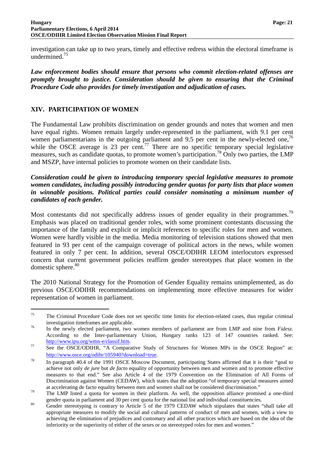investigation can take up to two years, timely and effective redress within the electoral timeframe is undermined.<sup>75</sup>

*Law enforcement bodies should ensure that persons who commit election-related offenses are promptly brought to justice. Consideration should be given to ensuring that the Criminal Procedure Code also provides for timely investigation and adjudication of cases.* 

# **XIV. PARTICIPATION OF WOMEN**

 $\overline{a}$ 

The Fundamental Law prohibits discrimination on gender grounds and notes that women and men have equal rights. Women remain largely under-represented in the parliament, with 9.1 per cent women parliamentarians in the outgoing parliament and 9.5 per cent in the newly-elected one,<sup>76</sup> while the OSCE average is 23 per cent.<sup>77</sup> There are no specific temporary special legislative measures, such as candidate quotas, to promote women's participation.<sup>78</sup> Only two parties, the LMP and MSZP, have internal policies to promote women on their candidate lists.

*Consideration could be given to introducing temporary special legislative measures to promote women candidates, including possibly introducing gender quotas for party lists that place women in winnable positions. Political parties could consider nominating a minimum number of candidates of each gender.*

Most contestants did not specifically address issues of gender equality in their programmes.<sup>79</sup> Emphasis was placed on traditional gender roles, with some prominent contestants discussing the importance of the family and explicit or implicit references to specific roles for men and women. Women were hardly visible in the media. Media monitoring of television stations showed that men featured in 93 per cent of the campaign coverage of political actors in the news, while women featured in only 7 per cent. In addition, several OSCE/ODIHR LEOM interlocutors expressed concern that current government policies reaffirm gender stereotypes that place women in the domestic sphere. $80$ 

The 2010 National Strategy for the Promotion of Gender Equality remains unimplemented, as do previous OSCE/ODIHR recommendations on implementing more effective measures for wider representation of women in parliament.

<sup>&</sup>lt;sup>75</sup> The Criminal Procedure Code does not set specific time limits for election-related cases, thus regular criminal investigation timeframes are applicable.

<sup>76</sup> In the newly elected parliament, two women members of parliament are from LMP and nine from *Fidesz*. According to the Inter-parliamentary Union, Hungary ranks 123 of 147 countries ranked. See: http://www.ipu.org/wmn-e/classif.htm.

<sup>&</sup>lt;sup>77</sup> See the OSCE/ODIHR, "A Comparative Study of Structures for Women MPs in the OSCE Region" at: http://www.osce.org/odihr/105940?download=true.

<sup>&</sup>lt;sup>78</sup> In paragraph 40.4 of the 1991 OSCE Moscow Document, participating States affirmed that it is their "goal to achieve not only *de jure* but *de facto* equality of opportunity between men and women and to promote effective measures to that end." See also Article 4 of the 1979 Convention on the Elimination of All Forms of Discrimination against Women (CEDAW), which states that the adoption "of temporary special measures aimed at accelerating de facto equality between men and women shall not be considered discrimination."

<sup>&</sup>lt;sup>79</sup> The LMP listed a quota for women in their platform. As well, the opposition alliance promised a one-third gender quota in parliament and 30 per cent quota for the national list and individual constituencies.

<sup>80</sup> Gender stereotyping is contrary to Article 5 of the 1979 CEDAW which stipulates that states "shall take all appropriate measures to modify the social and cultural patterns of conduct of men and women, with a view to achieving the elimination of prejudices and customary and all other practices which are based on the idea of the inferiority or the superiority of either of the sexes or on stereotyped roles for men and women."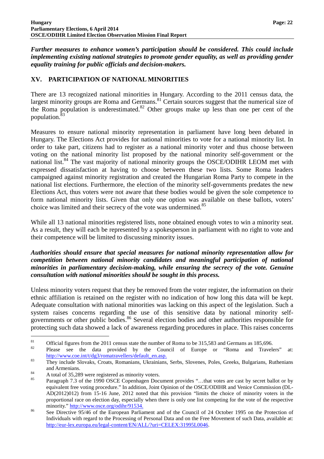*Further measures to enhance women's participation should be considered. This could include implementing existing national strategies to promote gender equality, as well as providing gender equality training for public officials and decision-makers.* 

# **XV. PARTICIPATION OF NATIONAL MINORITIES**

There are 13 recognized national minorities in Hungary. According to the 2011 census data, the largest minority groups are Roma and Germans.<sup>81</sup> Certain sources suggest that the numerical size of the Roma population is underestimated. $82$  Other groups make up less than one per cent of the population.

Measures to ensure national minority representation in parliament have long been debated in Hungary. The Elections Act provides for national minorities to vote for a national minority list. In order to take part, citizens had to register as a national minority voter and thus choose between voting on the national minority list proposed by the national minority self-government or the national list.<sup>84</sup> The vast majority of national minority groups the OSCE/ODIHR LEOM met with expressed dissatisfaction at having to choose between these two lists. Some Roma leaders campaigned against minority registration and created the Hungarian Roma Party to compete in the national list elections. Furthermore, the election of the minority self-governments predates the new Elections Act, thus voters were not aware that these bodies would be given the sole competence to form national minority lists. Given that only one option was available on these ballots, voters' choice was limited and their secrecy of the vote was undermined.<sup>85</sup>

While all 13 national minorities registered lists, none obtained enough votes to win a minority seat. As a result, they will each be represented by a spokesperson in parliament with no right to vote and their competence will be limited to discussing minority issues.

### *Authorities should ensure that special measures for national minority representation allow for competition between national minority candidates and meaningful participation of national minorities in parliamentary decision-making, while ensuring the secrecy of the vote. Genuine consultation with national minorities should be sought in this process.*

Unless minority voters request that they be removed from the voter register, the information on their ethnic affiliation is retained on the register with no indication of how long this data will be kept. Adequate consultation with national minorities was lacking on this aspect of the legislation. Such a system raises concerns regarding the use of this sensitive data by national minority selfgovernments or other public bodies.<sup>86</sup> Several election bodies and other authorities responsible for protecting such data showed a lack of awareness regarding procedures in place. This raises concerns

<sup>&</sup>lt;sup>81</sup> Official figures from the 2011 census state the number of Roma to be 315,583 and Germans as 185,696.

<sup>82</sup> Please see the data provided by the Council of Europe or "Roma and Travelers" at: http://www.coe.int/t/dg3/romatravellers/default\_en.asp.

<sup>&</sup>lt;sup>83</sup> They include Slovaks, Croats, Romanians, Ukrainians, Serbs, Slovenes, Poles, Greeks, Bulgarians, Ruthenians and Armenians.

<sup>&</sup>lt;sup>84</sup> A total of 35,289 were registered as minority voters.

<sup>85</sup> Paragraph 7.3 of the 1990 OSCE Copenhagen Document provides "…that votes are cast by secret ballot or by equivalent free voting procedure." In addition, Joint Opinion of the OSCE/ODIHR and Venice Commission (DL-AD(2012)012) from 15-16 June, 2012 noted that this provision "limits the choice of minority voters in the proportional race on election day, especially when there is only one list competing for the vote of the respective minority." http://www.osce.org/odihr/91534.

<sup>&</sup>lt;sup>86</sup> See Directive 95/46 of the European Parliament and of the Council of 24 October 1995 on the Protection of Individuals with regard to the Processing of Personal Data and on the Free Movement of such Data, available at: http://eur-lex.europa.eu/legal-content/EN/ALL/?uri=CELEX:31995L0046.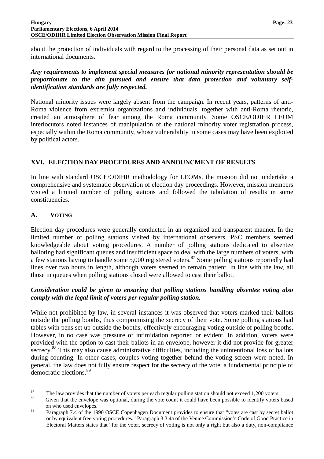about the protection of individuals with regard to the processing of their personal data as set out in international documents.

*Any requirements to implement special measures for national minority representation should be proportionate to the aim pursued and ensure that data protection and voluntary selfidentification standards are fully respected.* 

National minority issues were largely absent from the campaign. In recent years, patterns of anti-Roma violence from extremist organizations and individuals, together with anti-Roma rhetoric, created an atmosphere of fear among the Roma community. Some OSCE/ODIHR LEOM interlocutors noted instances of manipulation of the national minority voter registration process, especially within the Roma community, whose vulnerability in some cases may have been exploited by political actors.

# **XVI. ELECTION DAY PROCEDURES AND ANNOUNCMENT OF RESULTS**

In line with standard OSCE/ODIHR methodology for LEOMs, the mission did not undertake a comprehensive and systematic observation of election day proceedings. However, mission members visited a limited number of polling stations and followed the tabulation of results in some constituencies.

# **A. VOTING**

 $\overline{a}$ 

Election day procedures were generally conducted in an organized and transparent manner. In the limited number of polling stations visited by international observers, PSC members seemed knowledgeable about voting procedures. A number of polling stations dedicated to absentee balloting had significant queues and insufficient space to deal with the large numbers of voters, with a few stations having to handle some 5,000 registered voters.<sup>87</sup> Some polling stations reportedly had lines over two hours in length, although voters seemed to remain patient. In line with the law, all those in queues when polling stations closed were allowed to cast their ballot.

### *Consideration could be given to ensuring that polling stations handling absentee voting also comply with the legal limit of voters per regular polling station.*

While not prohibited by law, in several instances it was observed that voters marked their ballots outside the polling booths, thus compromising the secrecy of their vote. Some polling stations had tables with pens set up outside the booths, effectively encouraging voting outside of polling booths. However, in no case was pressure or intimidation reported or evident. In addition, voters were provided with the option to cast their ballots in an envelope, however it did not provide for greater secrecy.<sup>88</sup> This may also cause administrative difficulties, including the unintentional loss of ballots during counting. In other cases, couples voting together behind the voting screen were noted. In general, the law does not fully ensure respect for the secrecy of the vote, a fundamental principle of democratic elections.<sup>89</sup>

<sup>&</sup>lt;sup>87</sup> The law provides that the number of voters per each regular polling station should not exceed 1,200 voters.

Given that the envelope was optional, during the vote count it could have been possible to identify voters based on who used envelopes.

<sup>&</sup>lt;sup>89</sup> Paragraph 7.4 of the 1990 OSCE Copenhagen Document provides to ensure that "votes are cast by secret ballot or by equivalent free voting procedures." Paragraph 3.3.4a of the Venice Commission's Code of Good Practice in Electoral Matters states that "for the voter, secrecy of voting is not only a right but also a duty, non-compliance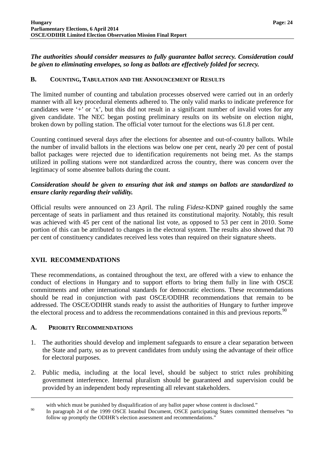*The authorities should consider measures to fully guarantee ballot secrecy. Consideration could be given to eliminating envelopes, so long as ballots are effectively folded for secrecy.* 

### **B. COUNTING, TABULATION AND THE ANNOUNCEMENT OF RESULTS**

The limited number of counting and tabulation processes observed were carried out in an orderly manner with all key procedural elements adhered to. The only valid marks to indicate preference for candidates were '+' or 'x', but this did not result in a significant number of invalid votes for any given candidate. The NEC began posting preliminary results on its website on election night, broken down by polling station. The official voter turnout for the elections was 61.8 per cent.

Counting continued several days after the elections for absentee and out-of-country ballots. While the number of invalid ballots in the elections was below one per cent, nearly 20 per cent of postal ballot packages were rejected due to identification requirements not being met. As the stamps utilized in polling stations were not standardized across the country, there was concern over the legitimacy of some absentee ballots during the count.

# *Consideration should be given to ensuring that ink and stamps on ballots are standardized to ensure clarity regarding their validity.*

Official results were announced on 23 April. The ruling *Fidesz*-KDNP gained roughly the same percentage of seats in parliament and thus retained its constitutional majority. Notably, this result was achieved with 45 per cent of the national list vote, as opposed to 53 per cent in 2010. Some portion of this can be attributed to changes in the electoral system. The results also showed that 70 per cent of constituency candidates received less votes than required on their signature sheets.

# **XVII. RECOMMENDATIONS**

These recommendations, as contained throughout the text, are offered with a view to enhance the conduct of elections in Hungary and to support efforts to bring them fully in line with OSCE commitments and other international standards for democratic elections. These recommendations should be read in conjunction with past OSCE/ODIHR recommendations that remain to be addressed. The OSCE/ODIHR stands ready to assist the authorities of Hungary to further improve the electoral process and to address the recommendations contained in this and previous reports.<sup>90</sup>

### **A. PRIORITY RECOMMENDATIONS**

- 1. The authorities should develop and implement safeguards to ensure a clear separation between the State and party, so as to prevent candidates from unduly using the advantage of their office for electoral purposes.
- 2. Public media, including at the local level, should be subject to strict rules prohibiting government interference. Internal pluralism should be guaranteed and supervision could be provided by an independent body representing all relevant stakeholders.

with which must be punished by disqualification of any ballot paper whose content is disclosed."

<sup>&</sup>lt;sup>90</sup> In paragraph 24 of the 1999 OSCE Istanbul Document, OSCE participating States committed themselves "to follow up promptly the ODIHR's election assessment and recommendations."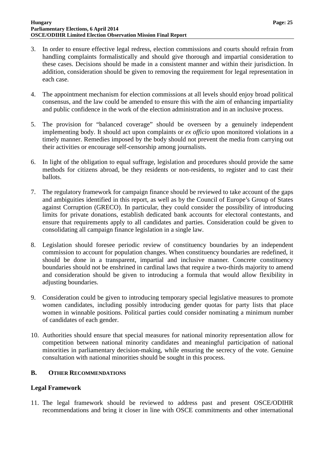- 3. In order to ensure effective legal redress, election commissions and courts should refrain from handling complaints formalistically and should give thorough and impartial consideration to these cases. Decisions should be made in a consistent manner and within their jurisdiction. In addition, consideration should be given to removing the requirement for legal representation in each case.
- 4. The appointment mechanism for election commissions at all levels should enjoy broad political consensus, and the law could be amended to ensure this with the aim of enhancing impartiality and public confidence in the work of the election administration and in an inclusive process.
- 5. The provision for "balanced coverage" should be overseen by a genuinely independent implementing body. It should act upon complaints or *ex officio* upon monitored violations in a timely manner. Remedies imposed by the body should not prevent the media from carrying out their activities or encourage self-censorship among journalists.
- 6. In light of the obligation to equal suffrage, legislation and procedures should provide the same methods for citizens abroad, be they residents or non-residents, to register and to cast their ballots.
- 7. The regulatory framework for campaign finance should be reviewed to take account of the gaps and ambiguities identified in this report, as well as by the Council of Europe's Group of States against Corruption (GRECO). In particular, they could consider the possibility of introducing limits for private donations, establish dedicated bank accounts for electoral contestants, and ensure that requirements apply to all candidates and parties. Consideration could be given to consolidating all campaign finance legislation in a single law.
- 8. Legislation should foresee periodic review of constituency boundaries by an independent commission to account for population changes. When constituency boundaries are redefined, it should be done in a transparent, impartial and inclusive manner. Concrete constituency boundaries should not be enshrined in cardinal laws that require a two-thirds majority to amend and consideration should be given to introducing a formula that would allow flexibility in adjusting boundaries.
- 9. Consideration could be given to introducing temporary special legislative measures to promote women candidates, including possibly introducing gender quotas for party lists that place women in winnable positions. Political parties could consider nominating a minimum number of candidates of each gender.
- 10. Authorities should ensure that special measures for national minority representation allow for competition between national minority candidates and meaningful participation of national minorities in parliamentary decision-making, while ensuring the secrecy of the vote. Genuine consultation with national minorities should be sought in this process.

# **B. OTHER RECOMMENDATIONS**

# **Legal Framework**

11. The legal framework should be reviewed to address past and present OSCE/ODIHR recommendations and bring it closer in line with OSCE commitments and other international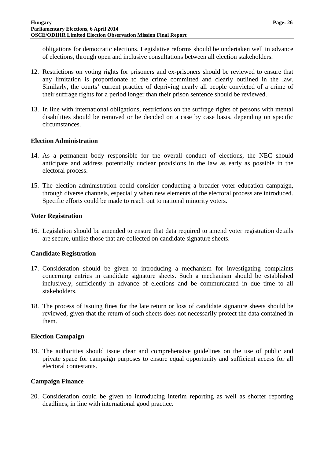obligations for democratic elections. Legislative reforms should be undertaken well in advance of elections, through open and inclusive consultations between all election stakeholders.

- 12. Restrictions on voting rights for prisoners and ex-prisoners should be reviewed to ensure that any limitation is proportionate to the crime committed and clearly outlined in the law. Similarly, the courts' current practice of depriving nearly all people convicted of a crime of their suffrage rights for a period longer than their prison sentence should be reviewed.
- 13. In line with international obligations, restrictions on the suffrage rights of persons with mental disabilities should be removed or be decided on a case by case basis, depending on specific circumstances.

### **Election Administration**

- 14. As a permanent body responsible for the overall conduct of elections, the NEC should anticipate and address potentially unclear provisions in the law as early as possible in the electoral process.
- 15. The election administration could consider conducting a broader voter education campaign, through diverse channels, especially when new elements of the electoral process are introduced. Specific efforts could be made to reach out to national minority voters.

### **Voter Registration**

16. Legislation should be amended to ensure that data required to amend voter registration details are secure, unlike those that are collected on candidate signature sheets.

# **Candidate Registration**

- 17. Consideration should be given to introducing a mechanism for investigating complaints concerning entries in candidate signature sheets. Such a mechanism should be established inclusively, sufficiently in advance of elections and be communicated in due time to all stakeholders.
- 18. The process of issuing fines for the late return or loss of candidate signature sheets should be reviewed, given that the return of such sheets does not necessarily protect the data contained in them.

### **Election Campaign**

19. The authorities should issue clear and comprehensive guidelines on the use of public and private space for campaign purposes to ensure equal opportunity and sufficient access for all electoral contestants.

# **Campaign Finance**

20. Consideration could be given to introducing interim reporting as well as shorter reporting deadlines, in line with international good practice.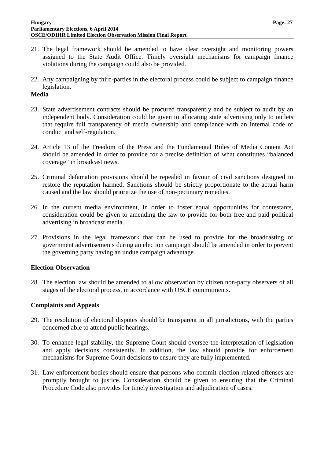- 21. The legal framework should be amended to have clear oversight and monitoring powers assigned to the State Audit Office. Timely oversight mechanisms for campaign finance violations during the campaign could also be provided.
- 22. Any campaigning by third-parties in the electoral process could be subject to campaign finance legislation.

### **Media**

- 23. State advertisement contracts should be procured transparently and be subject to audit by an independent body. Consideration could be given to allocating state advertising only to outlets that require full transparency of media ownership and compliance with an internal code of conduct and self-regulation.
- 24. Article 13 of the Freedom of the Press and the Fundamental Rules of Media Content Act should be amended in order to provide for a precise definition of what constitutes "balanced coverage" in broadcast news.
- 25. Criminal defamation provisions should be repealed in favour of civil sanctions designed to restore the reputation harmed. Sanctions should be strictly proportionate to the actual harm caused and the law should prioritize the use of non-pecuniary remedies.
- 26. In the current media environment, in order to foster equal opportunities for contestants, consideration could be given to amending the law to provide for both free and paid political advertising in broadcast media.
- 27. Provisions in the legal framework that can be used to provide for the broadcasting of government advertisements during an election campaign should be amended in order to prevent the governing party having an undue campaign advantage.

# **Election Observation**

28. The election law should be amended to allow observation by citizen non-party observers of all stages of the electoral process, in accordance with OSCE commitments.

### **Complaints and Appeals**

- 29. The resolution of electoral disputes should be transparent in all jurisdictions, with the parties concerned able to attend public hearings.
- 30. To enhance legal stability, the Supreme Court should oversee the interpretation of legislation and apply decisions consistently. In addition, the law should provide for enforcement mechanisms for Supreme Court decisions to ensure they are fully implemented.
- 31. Law enforcement bodies should ensure that persons who commit election-related offenses are promptly brought to justice. Consideration should be given to ensuring that the Criminal Procedure Code also provides for timely investigation and adjudication of cases.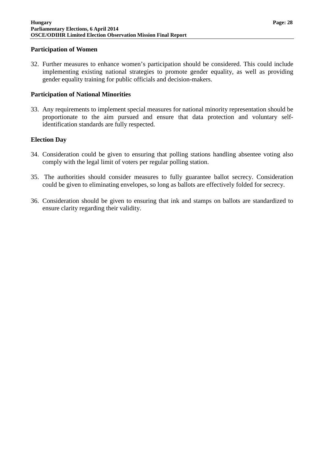### **Participation of Women**

32. Further measures to enhance women's participation should be considered. This could include implementing existing national strategies to promote gender equality, as well as providing gender equality training for public officials and decision-makers.

### **Participation of National Minorities**

33. Any requirements to implement special measures for national minority representation should be proportionate to the aim pursued and ensure that data protection and voluntary selfidentification standards are fully respected.

### **Election Day**

- 34. Consideration could be given to ensuring that polling stations handling absentee voting also comply with the legal limit of voters per regular polling station.
- 35. The authorities should consider measures to fully guarantee ballot secrecy. Consideration could be given to eliminating envelopes, so long as ballots are effectively folded for secrecy.
- 36. Consideration should be given to ensuring that ink and stamps on ballots are standardized to ensure clarity regarding their validity.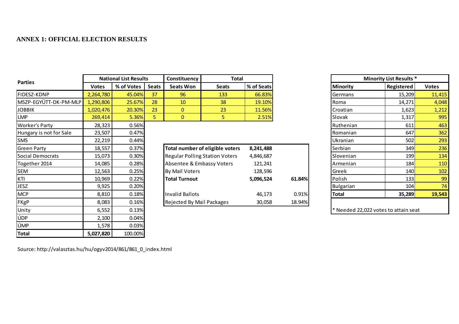# **ANNEX 1: OFFICIAL ELECTION RESULTS**

|                                                                                                                                                                                                                                                                                                 | <b>National List Results</b> |            | Constituency | <b>Total</b>                          |                                 |            | <b>Minority List Results *</b> |                 |                                      |              |
|-------------------------------------------------------------------------------------------------------------------------------------------------------------------------------------------------------------------------------------------------------------------------------------------------|------------------------------|------------|--------------|---------------------------------------|---------------------------------|------------|--------------------------------|-----------------|--------------------------------------|--------------|
| <b>Parties</b><br><b>FIDESZ-KDNP</b><br><b>JOBBIK</b><br><b>LMP</b><br><b>Worker's Party</b><br>Hungary is not for Sale<br><b>SMS</b><br><b>Green Party</b><br><b>Social Democrats</b><br>Together 2014<br><b>SEM</b><br>KTI<br><b>JESZ</b><br><b>MCP</b><br><b>FKgP</b><br>Unity<br>ÚDP<br>ÚMP | <b>Votes</b>                 | % of Votes | <b>Seats</b> | <b>Seats Won</b>                      | <b>Seats</b>                    | % of Seats |                                | <b>Minority</b> | Registered                           | <b>Votes</b> |
|                                                                                                                                                                                                                                                                                                 | 2,264,780                    | 45.04%     | 37           | 96                                    | 133                             | 66.83%     |                                | Germans         | 15,209                               | 11,415       |
| MSZP-EGYÜTT-DK-PM-MLP                                                                                                                                                                                                                                                                           | 1,290,806                    | 25.67%     | 28           | 10                                    | 38                              | 19.10%     |                                | Roma            | 14,271                               | 4,048        |
|                                                                                                                                                                                                                                                                                                 | 1,020,476                    | 20.30%     | 23           | $\mathbf{0}$                          | 23                              | 11.56%     |                                | Croatian        | 1,623                                | 1,212        |
|                                                                                                                                                                                                                                                                                                 | 269,414                      | 5.36%      | 5.           | $\overline{0}$                        | 5                               | 2.51%      |                                | Slovak          | 1,317                                | 995          |
|                                                                                                                                                                                                                                                                                                 | 28,323                       | 0.56%      |              |                                       |                                 |            |                                | Ruthenian       | 611                                  | 463          |
|                                                                                                                                                                                                                                                                                                 | 23,507                       | 0.47%      |              |                                       |                                 |            |                                | Romanian        | 647                                  | 362          |
|                                                                                                                                                                                                                                                                                                 | 22,219                       | 0.44%      |              |                                       |                                 |            |                                | <b>Ukranian</b> | 502                                  | 293          |
|                                                                                                                                                                                                                                                                                                 | 18,557                       | 0.37%      |              |                                       | Total number of eligible voters | 8,241,488  |                                | Serbian         | 349                                  | 236          |
|                                                                                                                                                                                                                                                                                                 | 15,073                       | 0.30%      |              | <b>Regular Polling Station Voters</b> |                                 | 4,846,687  |                                | Slovenian       | 199                                  | 134          |
|                                                                                                                                                                                                                                                                                                 | 14,085                       | 0.28%      |              | Absentee & Embassy Voters             |                                 | 121,241    |                                | Armenian        | 184                                  | 110          |
|                                                                                                                                                                                                                                                                                                 | 12,563                       | 0.25%      |              | <b>By Mail Voters</b>                 |                                 | 128,596    |                                | Greek           | 140                                  | 102          |
|                                                                                                                                                                                                                                                                                                 | 10,969                       | 0.22%      |              | Total Turnout                         |                                 | 5,096,524  | 61.84%                         | Polish          | 133                                  | 99           |
|                                                                                                                                                                                                                                                                                                 | 9,925                        | 0.20%      |              |                                       |                                 |            |                                | Bulgarian       | 104                                  | 74           |
|                                                                                                                                                                                                                                                                                                 | 8,810                        | 0.18%      |              | <b>Invalid Ballots</b>                |                                 | 46,173     | 0.91%                          | <b>Total</b>    | 35,289                               | 19,543       |
|                                                                                                                                                                                                                                                                                                 | 8,083                        | 0.16%      |              | Rejected By Mail Packages             |                                 | 30,058     | 18.94%                         |                 |                                      |              |
|                                                                                                                                                                                                                                                                                                 | 6,552                        | 0.13%      |              |                                       |                                 |            |                                |                 | * Needed 22,022 votes to attain seat |              |
|                                                                                                                                                                                                                                                                                                 | 2,100                        | 0.04%      |              |                                       |                                 |            |                                |                 |                                      |              |
|                                                                                                                                                                                                                                                                                                 | 1,578                        | 0.03%      |              |                                       |                                 |            |                                |                 |                                      |              |
| <b>Total</b>                                                                                                                                                                                                                                                                                    | 5,027,820                    | 100.00%    |              |                                       |                                 |            |                                |                 |                                      |              |

| 701            |                                       |           |        | UNIQIIIQII       | اع∪د   | 233    |
|----------------|---------------------------------------|-----------|--------|------------------|--------|--------|
| %              | Total number of eligible voters       | 8,241,488 |        | Serbian          | 349    | 236    |
| %              | <b>Regular Polling Station Voters</b> | 4,846,687 |        | Slovenian        | 199    | 134    |
| %              | Absentee & Embassy Voters             | 121,241   |        | Armenian         | 184    | 110    |
| $% \mathbf{C}$ | <b>By Mail Voters</b>                 | 128,596   |        | Greek            | 140    | 102    |
| %              | <b>Total Turnout</b>                  | 5,096,524 | 61.84% | Polish           | 133    | 99     |
| $\frac{1}{2}$  |                                       |           |        | <b>Bulgarian</b> | 104    | 74     |
| %              | Invalid Ballots                       | 46.173    | 0.91%  | <b>Total</b>     | 35,289 | 19,543 |
| %              | <b>Rejected By Mail Packages</b>      | 30,058    | 18.94% |                  |        |        |

| ults            |                | Constituency              | <b>Total</b>                           |            |        |                  | <b>Minority List Results *</b>       |              |
|-----------------|----------------|---------------------------|----------------------------------------|------------|--------|------------------|--------------------------------------|--------------|
|                 | <b>Seats</b>   | <b>Seats Won</b>          | <b>Seats</b>                           | % of Seats |        | <b>Minority</b>  | Registered                           | <b>Votes</b> |
| $% \frac{1}{2}$ | 37             | 96                        | 133                                    | 66.83%     |        | Germans          | 15,209                               | 11,415       |
| ℅               | 28             | 10                        | 38                                     | 19.10%     |        | Roma             | 14,271                               | 4,048        |
| %               | 23             | $\mathbf{0}$              | 23                                     | 11.56%     |        | Croatian         | 1,623                                | 1,212        |
| %               | 5 <sup>5</sup> | $\mathbf{0}$              | 5                                      | 2.51%      |        | <b>Slovak</b>    | 1,317                                | 995          |
| %               |                |                           |                                        |            |        | Ruthenian        | 611                                  | 463          |
|                 |                |                           |                                        |            |        | Romanian         | 647                                  | 362          |
|                 |                |                           |                                        |            |        | Ukranian         | 502                                  | 293          |
|                 |                |                           | <b>Total number of eligible voters</b> | 8,241,488  |        | Serbian          | 349l                                 | 236          |
|                 |                |                           | <b>Regular Polling Station Voters</b>  | 4,846,687  |        | Slovenian        | 199                                  | 134          |
|                 |                | Absentee & Embassy Voters |                                        | 121,241    |        | Armenian         | 184                                  | 110          |
|                 |                | By Mail Voters            |                                        | 128,596    |        | Greek            | 140                                  | 102          |
|                 |                | <b>Total Turnout</b>      |                                        | 5,096,524  | 61.84% | Polish           | 133                                  | 99           |
|                 |                |                           |                                        |            |        | <b>Bulgarian</b> | 104                                  | 74           |
|                 |                | <b>Invalid Ballots</b>    |                                        | 46,173     | 0.91%  | <b>Total</b>     | 35,289                               | 19,543       |
|                 |                | Rejected By Mail Packages |                                        | 30,058     | 18.94% |                  |                                      |              |
|                 |                |                           |                                        |            |        |                  | * Needed 22,022 votes to attain seat |              |
|                 |                |                           |                                        |            |        |                  |                                      |              |

Source: http://valasztas.hu/hu/ogyv2014/861/861\_0\_index.html